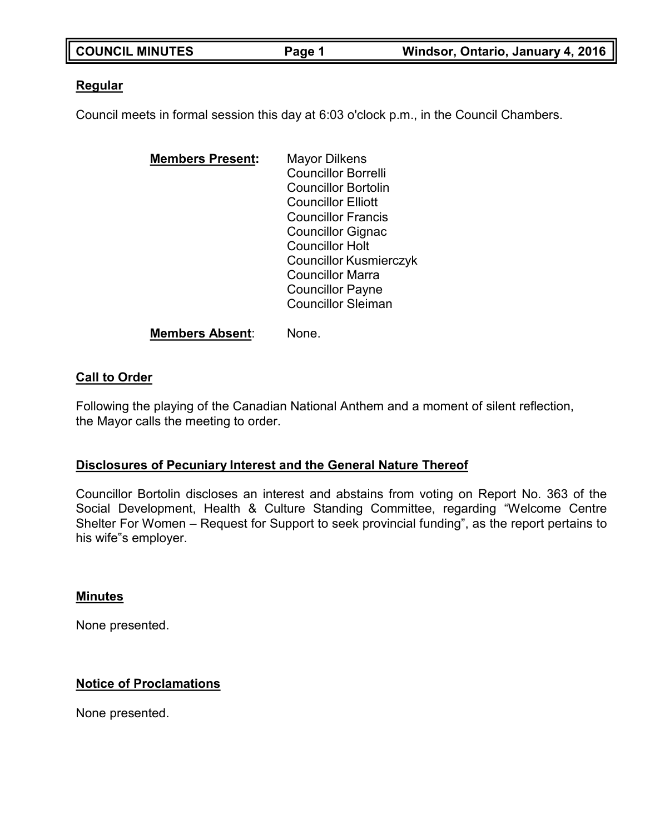| <b>COUNCIL MINUTES</b> | Page 1 | Windsor, Ontario, January 4, 2016 |
|------------------------|--------|-----------------------------------|

## **Regular**

Council meets in formal session this day at 6:03 o'clock p.m., in the Council Chambers.

| <b>Mayor Dilkens</b>          |
|-------------------------------|
| <b>Councillor Borrelli</b>    |
| <b>Councillor Bortolin</b>    |
| <b>Councillor Elliott</b>     |
| <b>Councillor Francis</b>     |
| <b>Councillor Gignac</b>      |
| <b>Councillor Holt</b>        |
| <b>Councillor Kusmierczyk</b> |
| <b>Councillor Marra</b>       |
| <b>Councillor Payne</b>       |
| <b>Councillor Sleiman</b>     |
|                               |

### **Members Absent**: None.

### **Call to Order**

Following the playing of the Canadian National Anthem and a moment of silent reflection, the Mayor calls the meeting to order.

### **Disclosures of Pecuniary Interest and the General Nature Thereof**

Councillor Bortolin discloses an interest and abstains from voting on Report No. 363 of the Social Development, Health & Culture Standing Committee, regarding "Welcome Centre Shelter For Women – Request for Support to seek provincial funding", as the report pertains to his wife"s employer.

### **Minutes**

None presented.

# **Notice of Proclamations**

None presented.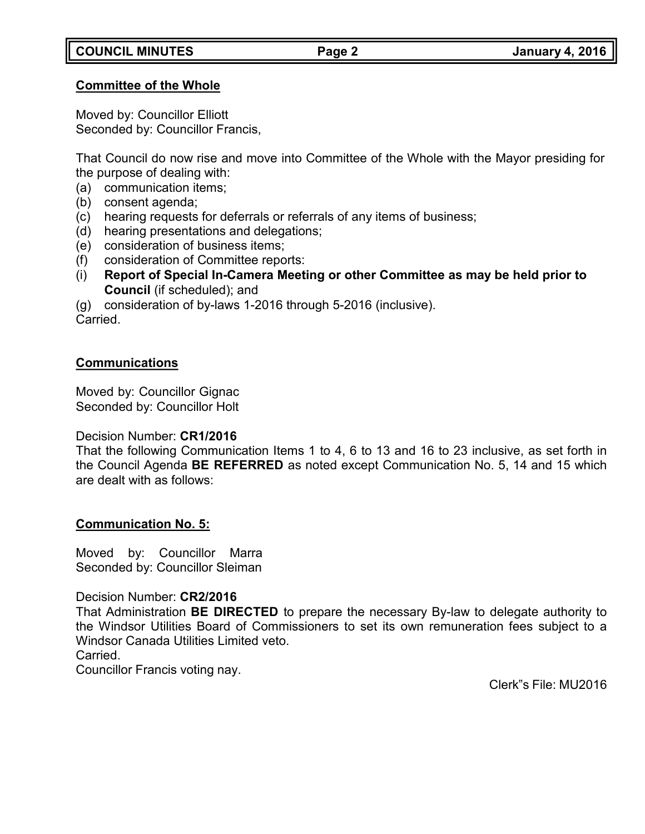### **Committee of the Whole**

Moved by: Councillor Elliott Seconded by: Councillor Francis,

That Council do now rise and move into Committee of the Whole with the Mayor presiding for the purpose of dealing with:

- (a) communication items;
- (b) consent agenda;
- (c) hearing requests for deferrals or referrals of any items of business;
- (d) hearing presentations and delegations;
- (e) consideration of business items;
- (f) consideration of Committee reports:
- (i) **Report of Special In-Camera Meeting or other Committee as may be held prior to Council** (if scheduled); and

(g) consideration of by-laws 1-2016 through 5-2016 (inclusive). Carried.

# **Communications**

Moved by: Councillor Gignac Seconded by: Councillor Holt

# Decision Number: **CR1/2016**

That the following Communication Items 1 to 4, 6 to 13 and 16 to 23 inclusive, as set forth in the Council Agenda **BE REFERRED** as noted except Communication No. 5, 14 and 15 which are dealt with as follows:

# **Communication No. 5:**

Moved by: Councillor Marra Seconded by: Councillor Sleiman

Decision Number: **CR2/2016**

That Administration **BE DIRECTED** to prepare the necessary By-law to delegate authority to the Windsor Utilities Board of Commissioners to set its own remuneration fees subject to a Windsor Canada Utilities Limited veto.

Carried.

Councillor Francis voting nay.

Clerk"s File: MU2016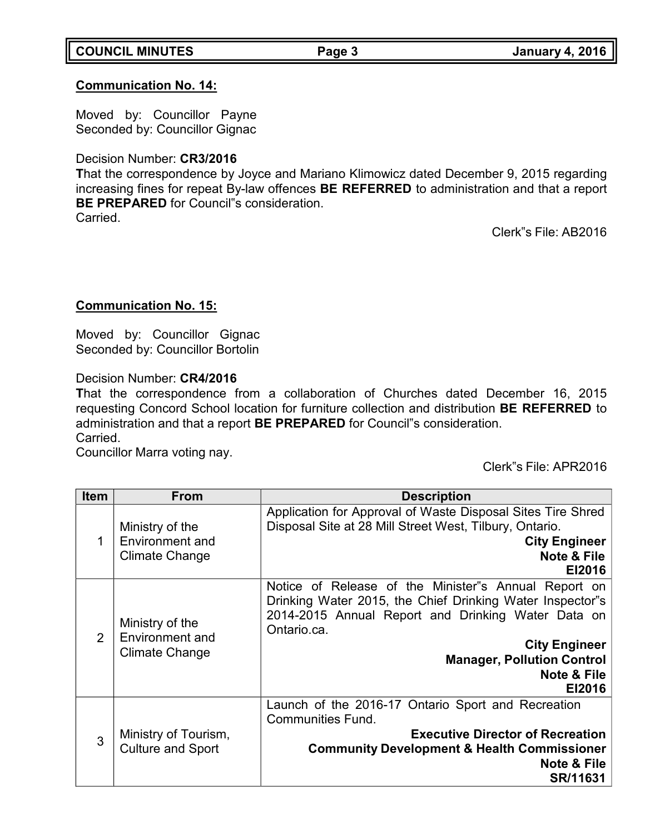# **COUNCIL MINUTES Page 3 January 4, 2016**

# **Communication No. 14:**

Moved by: Councillor Payne Seconded by: Councillor Gignac

# Decision Number: **CR3/2016**

**T**hat the correspondence by Joyce and Mariano Klimowicz dated December 9, 2015 regarding increasing fines for repeat By-law offences **BE REFERRED** to administration and that a report **BE PREPARED** for Council"s consideration.

**Carried** 

Clerk"s File: AB2016

# **Communication No. 15:**

Moved by: Councillor Gignac Seconded by: Councillor Bortolin

Decision Number: **CR4/2016**

**T**hat the correspondence from a collaboration of Churches dated December 16, 2015 requesting Concord School location for furniture collection and distribution **BE REFERRED** to administration and that a report **BE PREPARED** for Council"s consideration. Carried.

Councillor Marra voting nay.

Clerk"s File: APR2016

| Item          | <b>From</b>                                                 | <b>Description</b>                                                                                                                                                                                                                                                                      |  |
|---------------|-------------------------------------------------------------|-----------------------------------------------------------------------------------------------------------------------------------------------------------------------------------------------------------------------------------------------------------------------------------------|--|
| 1             | Ministry of the<br>Environment and<br><b>Climate Change</b> | Application for Approval of Waste Disposal Sites Tire Shred<br>Disposal Site at 28 Mill Street West, Tilbury, Ontario.<br><b>City Engineer</b><br><b>Note &amp; File</b><br>EI2016                                                                                                      |  |
| $\mathcal{P}$ | Ministry of the<br>Environment and<br>Climate Change        | Notice of Release of the Minister"s Annual Report on<br>Drinking Water 2015, the Chief Drinking Water Inspector"s<br>2014-2015 Annual Report and Drinking Water Data on<br>Ontario.ca.<br><b>City Engineer</b><br><b>Manager, Pollution Control</b><br><b>Note &amp; File</b><br>EI2016 |  |
| 3             | Ministry of Tourism,<br><b>Culture and Sport</b>            | Launch of the 2016-17 Ontario Sport and Recreation<br><b>Communities Fund.</b><br><b>Executive Director of Recreation</b><br><b>Community Development &amp; Health Commissioner</b><br><b>Note &amp; File</b><br>SR/11631                                                               |  |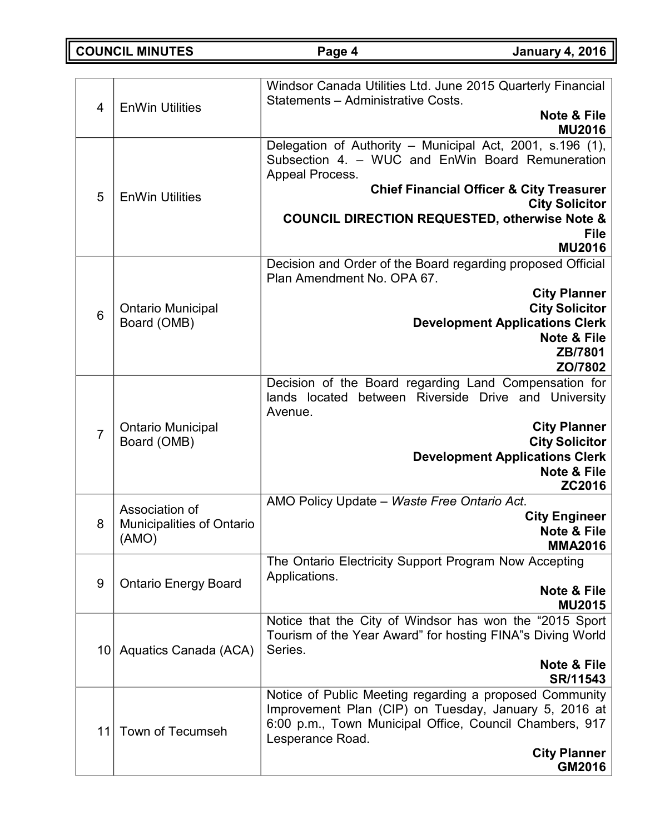**COUNCIL MINUTES Page 4 January 4, 2016**

| $\overline{4}$ | <b>EnWin Utilities</b>                                      | Windsor Canada Utilities Ltd. June 2015 Quarterly Financial<br>Statements - Administrative Costs.<br><b>Note &amp; File</b><br><b>MU2016</b>                                                                                                                                                          |  |
|----------------|-------------------------------------------------------------|-------------------------------------------------------------------------------------------------------------------------------------------------------------------------------------------------------------------------------------------------------------------------------------------------------|--|
| 5              | <b>EnWin Utilities</b>                                      | Delegation of Authority - Municipal Act, 2001, s.196 (1),<br>Subsection 4. - WUC and EnWin Board Remuneration<br>Appeal Process.<br><b>Chief Financial Officer &amp; City Treasurer</b><br><b>City Solicitor</b><br><b>COUNCIL DIRECTION REQUESTED, otherwise Note &amp;</b><br>File<br><b>MU2016</b> |  |
| 6              | <b>Ontario Municipal</b><br>Board (OMB)                     | Decision and Order of the Board regarding proposed Official<br>Plan Amendment No. OPA 67.<br><b>City Planner</b><br><b>City Solicitor</b><br><b>Development Applications Clerk</b><br><b>Note &amp; File</b><br>ZB/7801<br>ZO/7802                                                                    |  |
| $\overline{7}$ | <b>Ontario Municipal</b><br>Board (OMB)                     | Decision of the Board regarding Land Compensation for<br>lands located between Riverside Drive and University<br>Avenue.<br><b>City Planner</b><br><b>City Solicitor</b><br><b>Development Applications Clerk</b><br><b>Note &amp; File</b><br>ZC2016                                                 |  |
| 8              | Association of<br><b>Municipalities of Ontario</b><br>(AMO) | AMO Policy Update - Waste Free Ontario Act.<br><b>City Engineer</b><br>Note & File<br><b>MMA2016</b>                                                                                                                                                                                                  |  |
| 9              | <b>Ontario Energy Board</b>                                 | The Ontario Electricity Support Program Now Accepting<br>Applications.<br>Note & File<br><b>MU2015</b>                                                                                                                                                                                                |  |
|                | 10 Aquatics Canada (ACA)                                    | Notice that the City of Windsor has won the "2015 Sport"<br>Tourism of the Year Award" for hosting FINA"s Diving World<br>Series.<br><b>Note &amp; File</b><br>SR/11543                                                                                                                               |  |
| 11             | <b>Town of Tecumseh</b>                                     | Notice of Public Meeting regarding a proposed Community<br>Improvement Plan (CIP) on Tuesday, January 5, 2016 at<br>6:00 p.m., Town Municipal Office, Council Chambers, 917<br>Lesperance Road.<br><b>City Planner</b><br>GM2016                                                                      |  |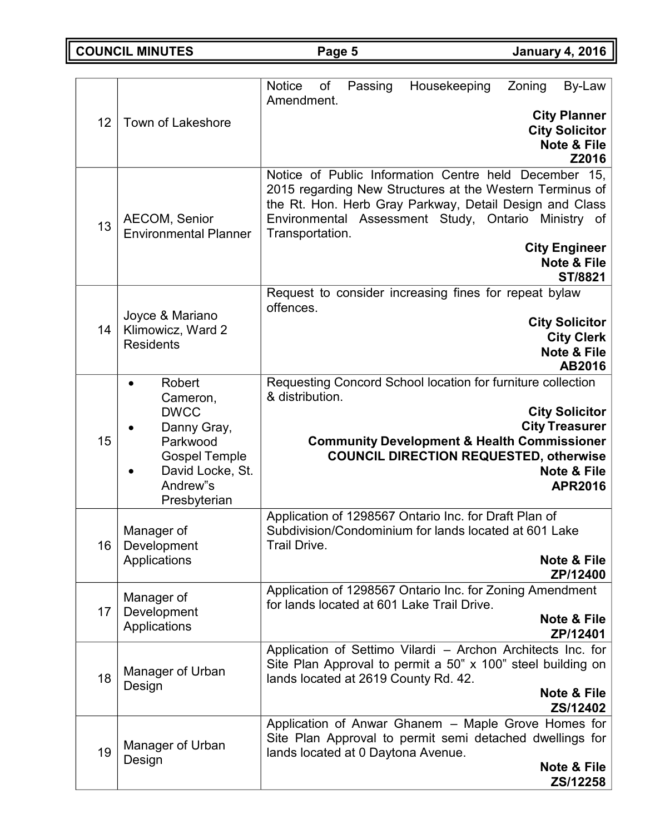**COUNCIL MINUTES Page 5 January 4, 2016**

|    |                                                                                                                                      | Passing<br><b>Notice</b><br>of<br>Housekeeping<br>Zoning<br>By-Law                                                                                                                                                                                                                                                  |  |
|----|--------------------------------------------------------------------------------------------------------------------------------------|---------------------------------------------------------------------------------------------------------------------------------------------------------------------------------------------------------------------------------------------------------------------------------------------------------------------|--|
| 12 | <b>Town of Lakeshore</b>                                                                                                             | Amendment.<br><b>City Planner</b><br><b>City Solicitor</b><br><b>Note &amp; File</b><br>Z2016                                                                                                                                                                                                                       |  |
| 13 | <b>AECOM, Senior</b><br><b>Environmental Planner</b>                                                                                 | Notice of Public Information Centre held December 15,<br>2015 regarding New Structures at the Western Terminus of<br>the Rt. Hon. Herb Gray Parkway, Detail Design and Class<br>Environmental Assessment Study, Ontario Ministry of<br>Transportation.<br><b>City Engineer</b><br><b>Note &amp; File</b><br>ST/8821 |  |
| 14 | Joyce & Mariano<br>Klimowicz, Ward 2<br><b>Residents</b>                                                                             | Request to consider increasing fines for repeat bylaw<br>offences.<br><b>City Solicitor</b><br><b>City Clerk</b><br><b>Note &amp; File</b><br>AB2016                                                                                                                                                                |  |
| 15 | Robert<br>Cameron,<br><b>DWCC</b><br>Danny Gray,<br>Parkwood<br><b>Gospel Temple</b><br>David Locke, St.<br>Andrew"s<br>Presbyterian | Requesting Concord School location for furniture collection<br>& distribution.<br><b>City Solicitor</b><br><b>City Treasurer</b><br><b>Community Development &amp; Health Commissioner</b><br><b>COUNCIL DIRECTION REQUESTED, otherwise</b><br><b>Note &amp; File</b><br><b>APR2016</b>                             |  |
| 16 | Manager of<br>Development<br>Applications                                                                                            | Application of 1298567 Ontario Inc. for Draft Plan of<br>Subdivision/Condominium for lands located at 601 Lake<br>Trail Drive.<br>Note & File<br>ZP/12400                                                                                                                                                           |  |
| 17 | Manager of<br>Development<br>Applications                                                                                            | Application of 1298567 Ontario Inc. for Zoning Amendment<br>for lands located at 601 Lake Trail Drive.<br><b>Note &amp; File</b><br>ZP/12401                                                                                                                                                                        |  |
| 18 | Manager of Urban<br>Design                                                                                                           | Application of Settimo Vilardi - Archon Architects Inc. for<br>Site Plan Approval to permit a 50" x 100" steel building on<br>lands located at 2619 County Rd. 42.<br><b>Note &amp; File</b><br>ZS/12402                                                                                                            |  |
| 19 | Manager of Urban<br>Design                                                                                                           | Application of Anwar Ghanem - Maple Grove Homes for<br>Site Plan Approval to permit semi detached dwellings for<br>lands located at 0 Daytona Avenue.<br>Note & File<br>ZS/12258                                                                                                                                    |  |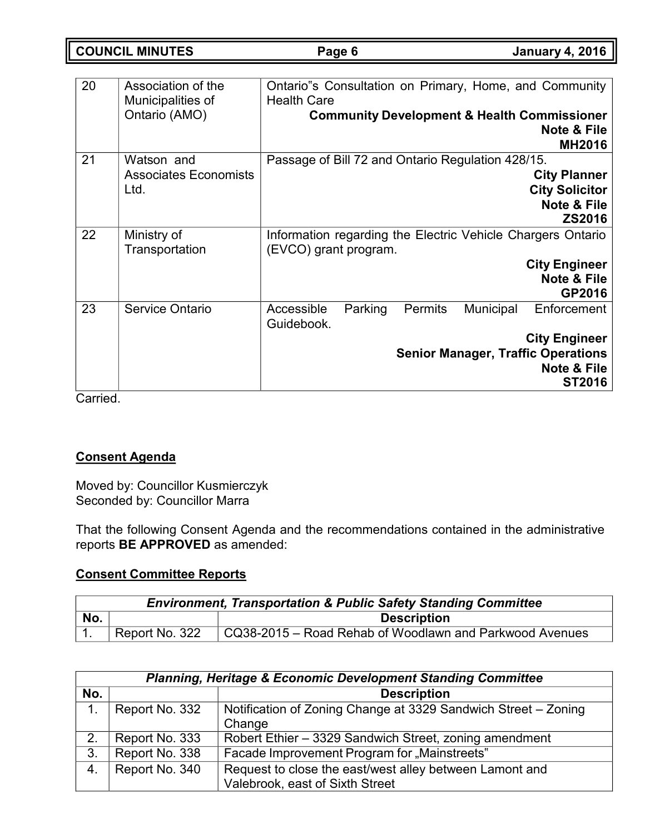**COUNCIL MINUTES Page 6 January 4, 2016**

| 20 | Association of the<br>Municipalities of<br>Ontario (AMO) | Ontario"s Consultation on Primary, Home, and Community<br><b>Health Care</b><br><b>Community Development &amp; Health Commissioner</b><br>Note & File<br><b>MH2016</b>                 |  |
|----|----------------------------------------------------------|----------------------------------------------------------------------------------------------------------------------------------------------------------------------------------------|--|
| 21 | Watson and<br><b>Associates Economists</b><br>Ltd.       | Passage of Bill 72 and Ontario Regulation 428/15.<br><b>City Planner</b><br><b>City Solicitor</b><br><b>Note &amp; File</b><br><b>ZS2016</b>                                           |  |
| 22 | Ministry of<br>Transportation                            | Information regarding the Electric Vehicle Chargers Ontario<br>(EVCO) grant program.<br><b>City Engineer</b><br>Note & File<br>GP2016                                                  |  |
| 23 | <b>Service Ontario</b>                                   | Municipal<br><b>Permits</b><br>Enforcement<br>Accessible<br>Parking<br>Guidebook.<br><b>City Engineer</b><br><b>Senior Manager, Traffic Operations</b><br>Note & File<br><b>ST2016</b> |  |

Carried.

# **Consent Agenda**

Moved by: Councillor Kusmierczyk Seconded by: Councillor Marra

That the following Consent Agenda and the recommendations contained in the administrative reports **BE APPROVED** as amended:

# **Consent Committee Reports**

| <b>Environment, Transportation &amp; Public Safety Standing Committee</b> |                |                                                         |  |
|---------------------------------------------------------------------------|----------------|---------------------------------------------------------|--|
| No.                                                                       |                | <b>Description</b>                                      |  |
|                                                                           | Report No. 322 | CQ38-2015 – Road Rehab of Woodlawn and Parkwood Avenues |  |

| <b>Planning, Heritage &amp; Economic Development Standing Committee</b> |                |                                                                                            |  |  |
|-------------------------------------------------------------------------|----------------|--------------------------------------------------------------------------------------------|--|--|
| No.                                                                     |                | <b>Description</b>                                                                         |  |  |
| 1.                                                                      | Report No. 332 | Notification of Zoning Change at 3329 Sandwich Street - Zoning<br>Change                   |  |  |
| 2.                                                                      | Report No. 333 | Robert Ethier - 3329 Sandwich Street, zoning amendment                                     |  |  |
| 3.                                                                      | Report No. 338 | Facade Improvement Program for "Mainstreets"                                               |  |  |
| 4.                                                                      | Report No. 340 | Request to close the east/west alley between Lamont and<br>Valebrook, east of Sixth Street |  |  |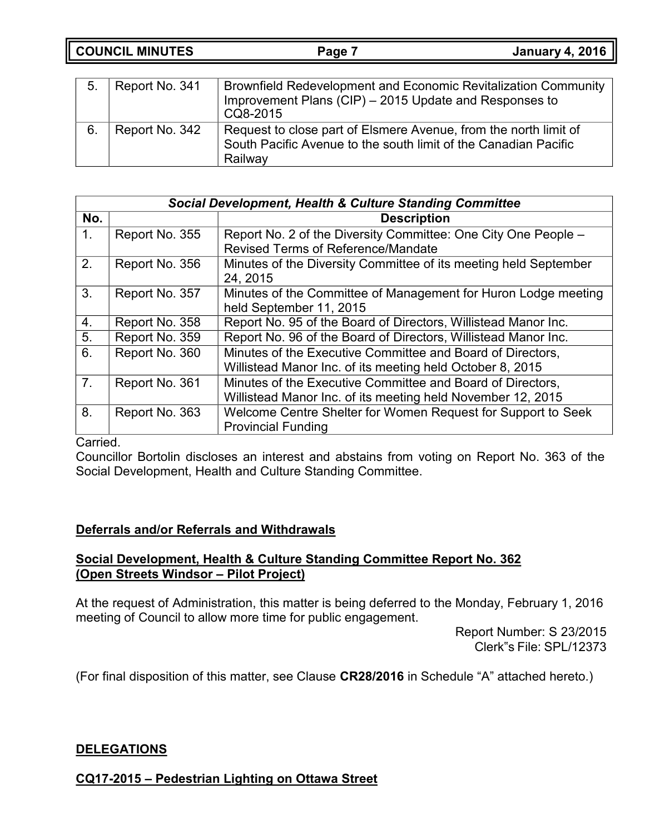**COUNCIL MINUTES Page 7 January 4, 2016**

| 5. | Report No. 341 | <b>Brownfield Redevelopment and Economic Revitalization Community</b><br>Improvement Plans (CIP) - 2015 Update and Responses to<br>CQ8-2015    |
|----|----------------|------------------------------------------------------------------------------------------------------------------------------------------------|
| 6. | Report No. 342 | Request to close part of Elsmere Avenue, from the north limit of<br>South Pacific Avenue to the south limit of the Canadian Pacific<br>Railway |

|                | <b>Social Development, Health &amp; Culture Standing Committee</b> |                                                                  |  |
|----------------|--------------------------------------------------------------------|------------------------------------------------------------------|--|
| No.            |                                                                    | <b>Description</b>                                               |  |
| 1 <sub>1</sub> | Report No. 355                                                     | Report No. 2 of the Diversity Committee: One City One People -   |  |
|                |                                                                    | <b>Revised Terms of Reference/Mandate</b>                        |  |
| 2.             | Report No. 356                                                     | Minutes of the Diversity Committee of its meeting held September |  |
|                |                                                                    | 24, 2015                                                         |  |
| 3.             | Report No. 357                                                     | Minutes of the Committee of Management for Huron Lodge meeting   |  |
|                |                                                                    | held September 11, 2015                                          |  |
| 4.             | Report No. 358                                                     | Report No. 95 of the Board of Directors, Willistead Manor Inc.   |  |
| 5.             | Report No. 359                                                     | Report No. 96 of the Board of Directors, Willistead Manor Inc.   |  |
| 6.             | Report No. 360                                                     | Minutes of the Executive Committee and Board of Directors,       |  |
|                |                                                                    | Willistead Manor Inc. of its meeting held October 8, 2015        |  |
| 7 <sub>1</sub> | Report No. 361                                                     | Minutes of the Executive Committee and Board of Directors,       |  |
|                |                                                                    | Willistead Manor Inc. of its meeting held November 12, 2015      |  |
| 8.             | Report No. 363                                                     | Welcome Centre Shelter for Women Request for Support to Seek     |  |
|                |                                                                    | <b>Provincial Funding</b>                                        |  |

### Carried.

Councillor Bortolin discloses an interest and abstains from voting on Report No. 363 of the Social Development, Health and Culture Standing Committee.

# **Deferrals and/or Referrals and Withdrawals**

# **Social Development, Health & Culture Standing Committee Report No. 362 (Open Streets Windsor – Pilot Project)**

At the request of Administration, this matter is being deferred to the Monday, February 1, 2016 meeting of Council to allow more time for public engagement.

> Report Number: S 23/2015 Clerk"s File: SPL/12373

(For final disposition of this matter, see Clause **CR28/2016** in Schedule "A" attached hereto.)

# **DELEGATIONS**

**CQ17-2015 – Pedestrian Lighting on Ottawa Street**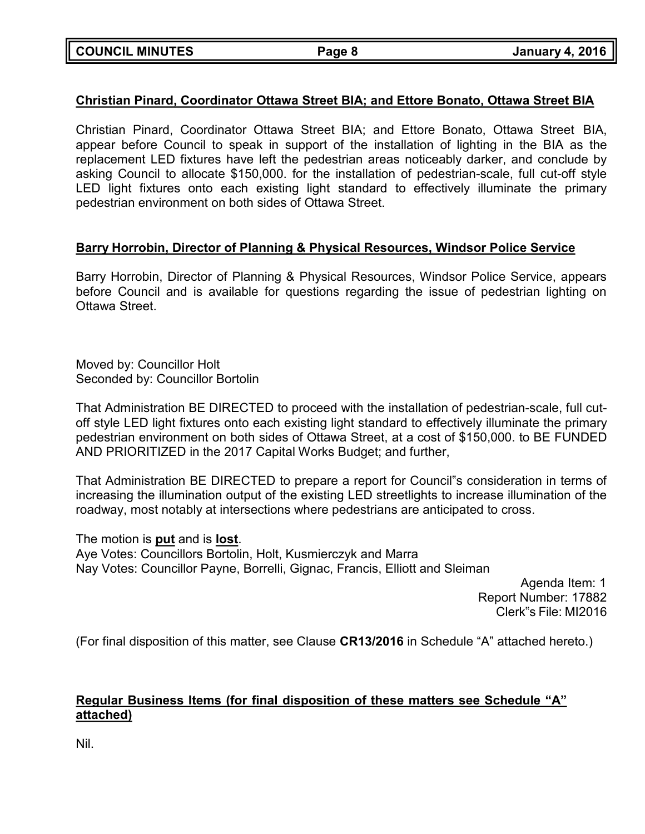# **Christian Pinard, Coordinator Ottawa Street BIA; and Ettore Bonato, Ottawa Street BIA**

Christian Pinard, Coordinator Ottawa Street BIA; and Ettore Bonato, Ottawa Street BIA, appear before Council to speak in support of the installation of lighting in the BIA as the replacement LED fixtures have left the pedestrian areas noticeably darker, and conclude by asking Council to allocate \$150,000. for the installation of pedestrian-scale, full cut-off style LED light fixtures onto each existing light standard to effectively illuminate the primary pedestrian environment on both sides of Ottawa Street.

# **Barry Horrobin, Director of Planning & Physical Resources, Windsor Police Service**

Barry Horrobin, Director of Planning & Physical Resources, Windsor Police Service, appears before Council and is available for questions regarding the issue of pedestrian lighting on Ottawa Street.

Moved by: Councillor Holt Seconded by: Councillor Bortolin

That Administration BE DIRECTED to proceed with the installation of pedestrian-scale, full cutoff style LED light fixtures onto each existing light standard to effectively illuminate the primary pedestrian environment on both sides of Ottawa Street, at a cost of \$150,000. to BE FUNDED AND PRIORITIZED in the 2017 Capital Works Budget; and further,

That Administration BE DIRECTED to prepare a report for Council"s consideration in terms of increasing the illumination output of the existing LED streetlights to increase illumination of the roadway, most notably at intersections where pedestrians are anticipated to cross.

The motion is **put** and is **lost**. Aye Votes: Councillors Bortolin, Holt, Kusmierczyk and Marra Nay Votes: Councillor Payne, Borrelli, Gignac, Francis, Elliott and Sleiman

Agenda Item: 1 Report Number: 17882 Clerk"s File: MI2016

(For final disposition of this matter, see Clause **CR13/2016** in Schedule "A" attached hereto.)

# **Regular Business Items (for final disposition of these matters see Schedule "A" attached)**

Nil.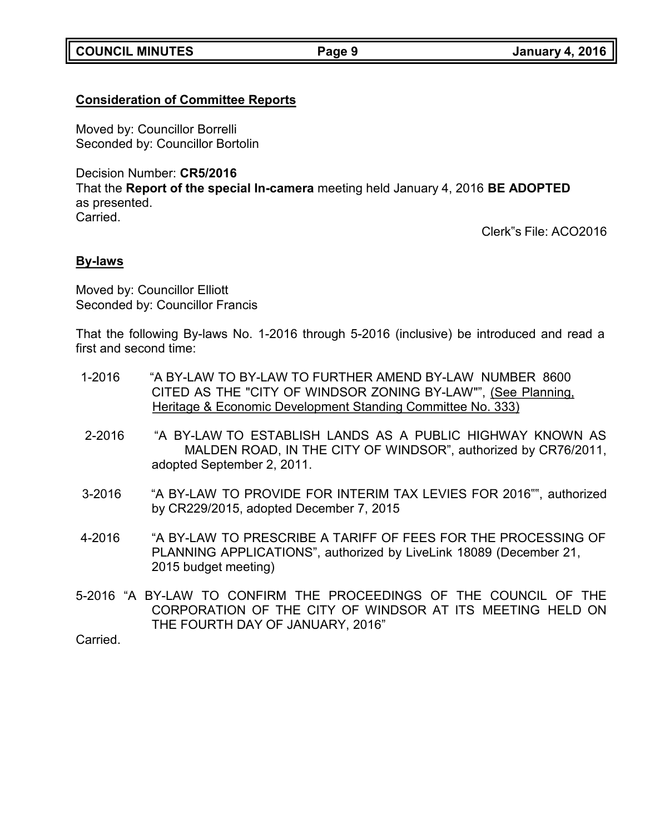# **Consideration of Committee Reports**

Moved by: Councillor Borrelli Seconded by: Councillor Bortolin

Decision Number: **CR5/2016**

That the **Report of the special In-camera** meeting held January 4, 2016 **BE ADOPTED** as presented.

Carried.

Clerk"s File: ACO2016

# **By-laws**

Moved by: Councillor Elliott Seconded by: Councillor Francis

That the following By-laws No. 1-2016 through 5-2016 (inclusive) be introduced and read a first and second time:

- 1-2016 "A BY-LAW TO BY-LAW TO FURTHER AMEND BY-LAW NUMBER 8600 CITED AS THE "CITY OF WINDSOR ZONING BY-LAW"", (See Planning, Heritage & Economic Development Standing Committee No. 333)
- 2-2016 "A BY-LAW TO ESTABLISH LANDS AS A PUBLIC HIGHWAY KNOWN AS MALDEN ROAD, IN THE CITY OF WINDSOR", authorized by CR76/2011, adopted September 2, 2011.
- 3-2016 "A BY-LAW TO PROVIDE FOR INTERIM TAX LEVIES FOR 2016"", authorized by CR229/2015, adopted December 7, 2015
- 4-2016 "A BY-LAW TO PRESCRIBE A TARIFF OF FEES FOR THE PROCESSING OF PLANNING APPLICATIONS", authorized by LiveLink 18089 (December 21, 2015 budget meeting)
- 5-2016 "A BY-LAW TO CONFIRM THE PROCEEDINGS OF THE COUNCIL OF THE CORPORATION OF THE CITY OF WINDSOR AT ITS MEETING HELD ON THE FOURTH DAY OF JANUARY, 2016"

**Carried**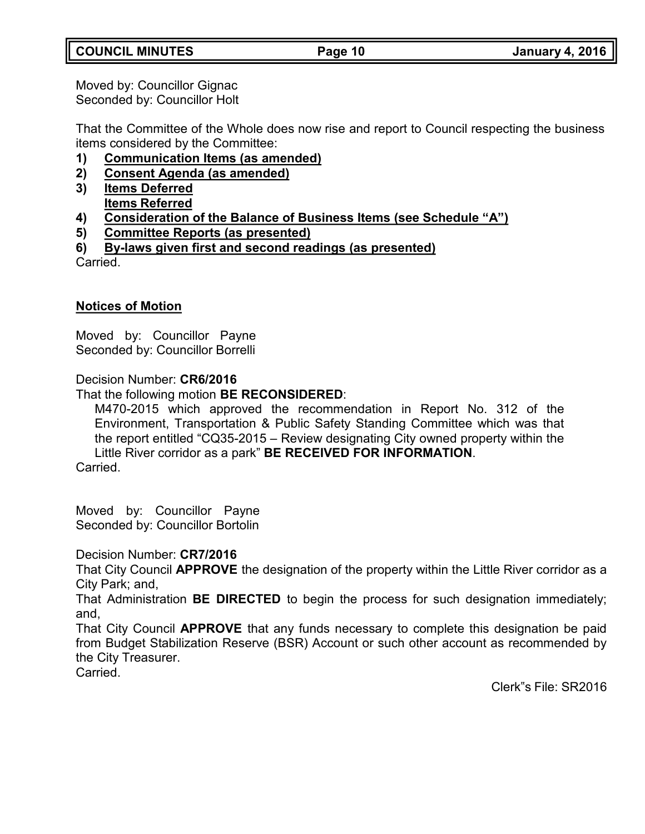Moved by: Councillor Gignac Seconded by: Councillor Holt

That the Committee of the Whole does now rise and report to Council respecting the business items considered by the Committee:

- **1) Communication Items (as amended)**
- **2) Consent Agenda (as amended)**
- **3) Items Deferred Items Referred**
- **4) Consideration of the Balance of Business Items (see Schedule "A")**
- **5) Committee Reports (as presented)**
- **6) By-laws given first and second readings (as presented)**

Carried.

# **Notices of Motion**

Moved by: Councillor Payne Seconded by: Councillor Borrelli

Decision Number: **CR6/2016**

# That the following motion **BE RECONSIDERED**:

M470-2015 which approved the recommendation in Report No. 312 of the Environment, Transportation & Public Safety Standing Committee which was that the report entitled "CQ35-2015 – Review designating City owned property within the Little River corridor as a park" **BE RECEIVED FOR INFORMATION**.

Carried.

Moved by: Councillor Payne Seconded by: Councillor Bortolin

# Decision Number: **CR7/2016**

That City Council **APPROVE** the designation of the property within the Little River corridor as a City Park; and,

That Administration **BE DIRECTED** to begin the process for such designation immediately; and,

That City Council **APPROVE** that any funds necessary to complete this designation be paid from Budget Stabilization Reserve (BSR) Account or such other account as recommended by the City Treasurer.

Carried.

Clerk"s File: SR2016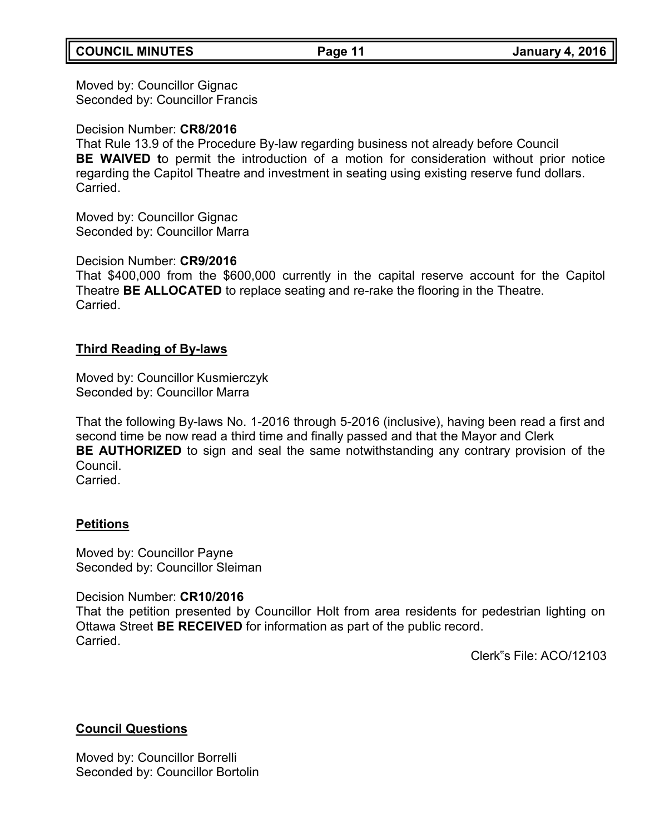# **COUNCIL MINUTES Page 11 January 4, 2016**

Moved by: Councillor Gignac Seconded by: Councillor Francis

Decision Number: **CR8/2016**

That Rule 13.9 of the Procedure By-law regarding business not already before Council **BE WAIVED t**o permit the introduction of a motion for consideration without prior notice regarding the Capitol Theatre and investment in seating using existing reserve fund dollars. **Carried** 

Moved by: Councillor Gignac Seconded by: Councillor Marra

Decision Number: **CR9/2016**

That \$400,000 from the \$600,000 currently in the capital reserve account for the Capitol Theatre **BE ALLOCATED** to replace seating and re-rake the flooring in the Theatre. Carried.

### **Third Reading of By-laws**

Moved by: Councillor Kusmierczyk Seconded by: Councillor Marra

That the following By-laws No. 1-2016 through 5-2016 (inclusive), having been read a first and second time be now read a third time and finally passed and that the Mayor and Clerk **BE AUTHORIZED** to sign and seal the same notwithstanding any contrary provision of the Council. **Carried** 

# **Petitions**

Moved by: Councillor Payne Seconded by: Councillor Sleiman

Decision Number: **CR10/2016**

That the petition presented by Councillor Holt from area residents for pedestrian lighting on Ottawa Street **BE RECEIVED** for information as part of the public record. Carried.

Clerk"s File: ACO/12103

# **Council Questions**

Moved by: Councillor Borrelli Seconded by: Councillor Bortolin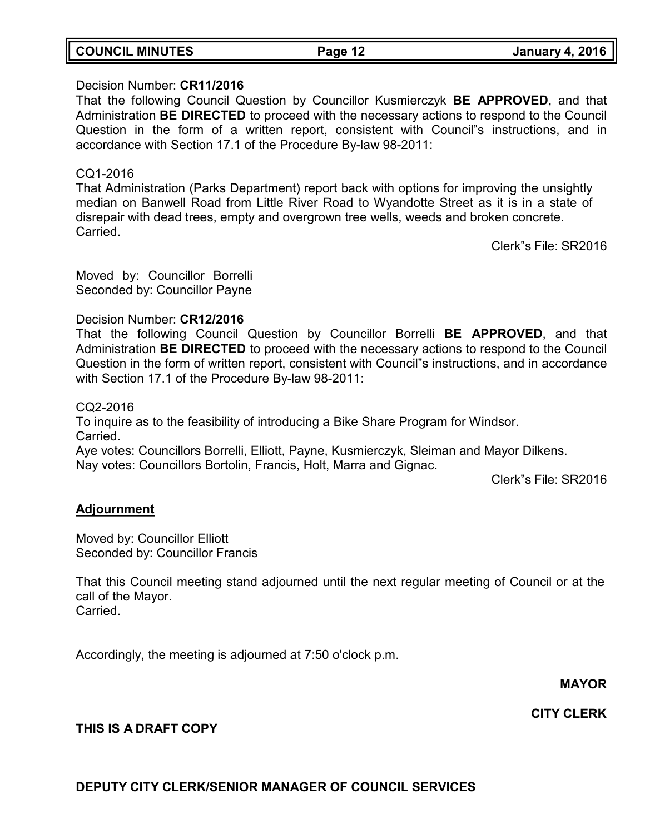|  | <b>COUNCIL MINUTES</b> |
|--|------------------------|
|--|------------------------|

# Decision Number: **CR11/2016**

That the following Council Question by Councillor Kusmierczyk **BE APPROVED**, and that Administration **BE DIRECTED** to proceed with the necessary actions to respond to the Council Question in the form of a written report, consistent with Council"s instructions, and in accordance with Section 17.1 of the Procedure By-law 98-2011:

### CQ1-2016

That Administration (Parks Department) report back with options for improving the unsightly median on Banwell Road from Little River Road to Wyandotte Street as it is in a state of disrepair with dead trees, empty and overgrown tree wells, weeds and broken concrete. Carried.

Clerk"s File: SR2016

Moved by: Councillor Borrelli Seconded by: Councillor Payne

Decision Number: **CR12/2016**

That the following Council Question by Councillor Borrelli **BE APPROVED**, and that Administration **BE DIRECTED** to proceed with the necessary actions to respond to the Council Question in the form of written report, consistent with Council"s instructions, and in accordance with Section 17.1 of the Procedure By-law 98-2011:

CQ2-2016

To inquire as to the feasibility of introducing a Bike Share Program for Windsor. Carried.

Aye votes: Councillors Borrelli, Elliott, Payne, Kusmierczyk, Sleiman and Mayor Dilkens. Nay votes: Councillors Bortolin, Francis, Holt, Marra and Gignac.

Clerk"s File: SR2016

# **Adjournment**

Moved by: Councillor Elliott Seconded by: Councillor Francis

That this Council meeting stand adjourned until the next regular meeting of Council or at the call of the Mayor. Carried.

Accordingly, the meeting is adjourned at 7:50 o'clock p.m.

**MAYOR**

**CITY CLERK**

# **THIS IS A DRAFT COPY**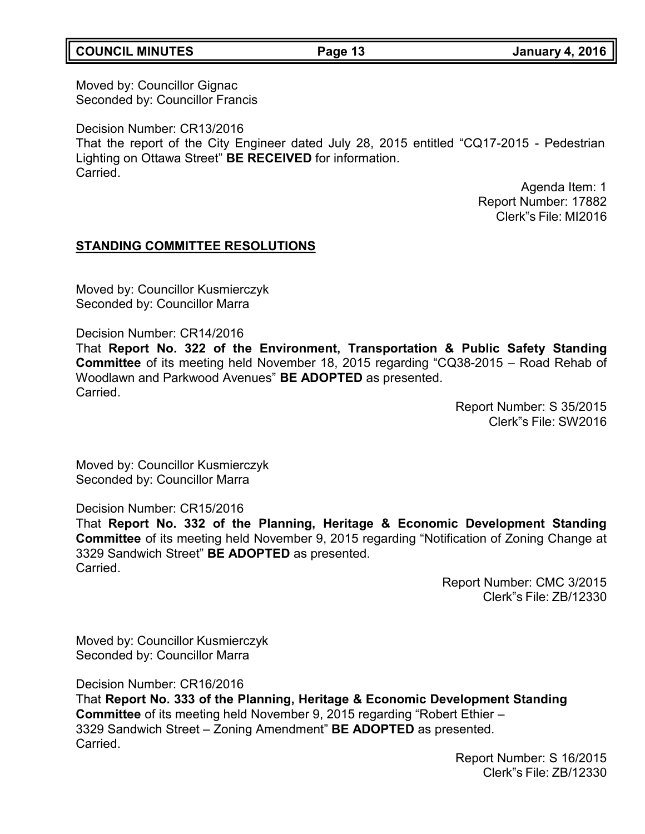# **COUNCIL MINUTES Page 13 January 4, 2016**

Moved by: Councillor Gignac Seconded by: Councillor Francis

Decision Number: CR13/2016 That the report of the City Engineer dated July 28, 2015 entitled "CQ17-2015 - Pedestrian Lighting on Ottawa Street" **BE RECEIVED** for information. **Carried** 

> Agenda Item: 1 Report Number: 17882 Clerk"s File: MI2016

### **STANDING COMMITTEE RESOLUTIONS**

Moved by: Councillor Kusmierczyk Seconded by: Councillor Marra

Decision Number: CR14/2016

That **Report No. 322 of the Environment, Transportation & Public Safety Standing Committee** of its meeting held November 18, 2015 regarding "CQ38-2015 – Road Rehab of Woodlawn and Parkwood Avenues" **BE ADOPTED** as presented. **Carried** 

> Report Number: S 35/2015 Clerk"s File: SW2016

Moved by: Councillor Kusmierczyk Seconded by: Councillor Marra

Decision Number: CR15/2016

That **Report No. 332 of the Planning, Heritage & Economic Development Standing Committee** of its meeting held November 9, 2015 regarding "Notification of Zoning Change at 3329 Sandwich Street" **BE ADOPTED** as presented. Carried.

> Report Number: CMC 3/2015 Clerk"s File: ZB/12330

Moved by: Councillor Kusmierczyk Seconded by: Councillor Marra

Decision Number: CR16/2016

That **Report No. 333 of the Planning, Heritage & Economic Development Standing Committee** of its meeting held November 9, 2015 regarding "Robert Ethier – 3329 Sandwich Street – Zoning Amendment" **BE ADOPTED** as presented. Carried.

> Report Number: S 16/2015 Clerk"s File: ZB/12330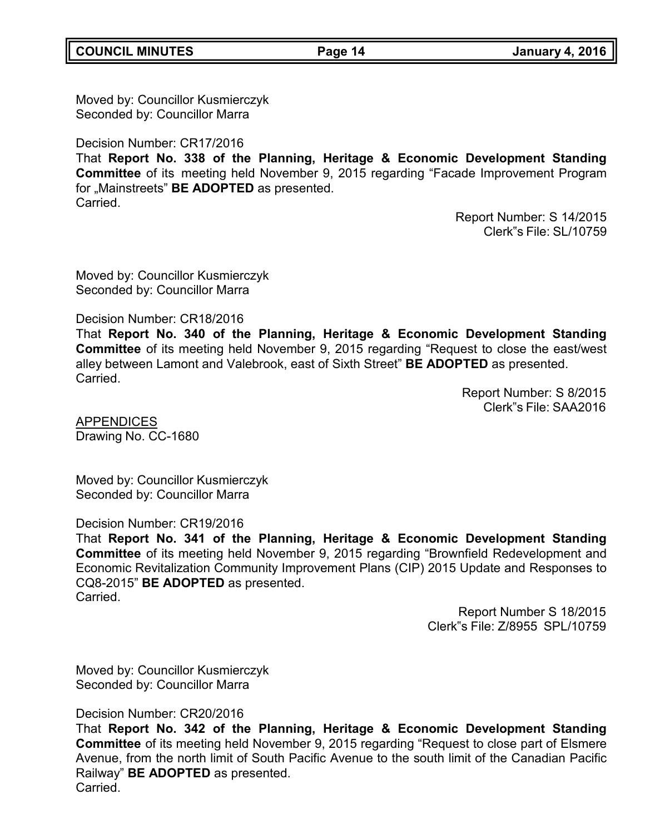Moved by: Councillor Kusmierczyk Seconded by: Councillor Marra

Decision Number: CR17/2016

That **Report No. 338 of the Planning, Heritage & Economic Development Standing Committee** of its meeting held November 9, 2015 regarding "Facade Improvement Program for "Mainstreets" **BE ADOPTED** as presented. Carried.

> Report Number: S 14/2015 Clerk"s File: SL/10759

Moved by: Councillor Kusmierczyk Seconded by: Councillor Marra

Decision Number: CR18/2016

That **Report No. 340 of the Planning, Heritage & Economic Development Standing Committee** of its meeting held November 9, 2015 regarding "Request to close the east/west alley between Lamont and Valebrook, east of Sixth Street" **BE ADOPTED** as presented. Carried.

> Report Number: S 8/2015 Clerk"s File: SAA2016

APPENDICES Drawing No. CC-1680

Moved by: Councillor Kusmierczyk Seconded by: Councillor Marra

Decision Number: CR19/2016

That **Report No. 341 of the Planning, Heritage & Economic Development Standing Committee** of its meeting held November 9, 2015 regarding "Brownfield Redevelopment and Economic Revitalization Community Improvement Plans (CIP) 2015 Update and Responses to CQ8-2015" **BE ADOPTED** as presented. Carried.

> Report Number S 18/2015 Clerk"s File: Z/8955 SPL/10759

Moved by: Councillor Kusmierczyk Seconded by: Councillor Marra

Decision Number: CR20/2016

That **Report No. 342 of the Planning, Heritage & Economic Development Standing Committee** of its meeting held November 9, 2015 regarding "Request to close part of Elsmere Avenue, from the north limit of South Pacific Avenue to the south limit of the Canadian Pacific Railway" **BE ADOPTED** as presented. Carried.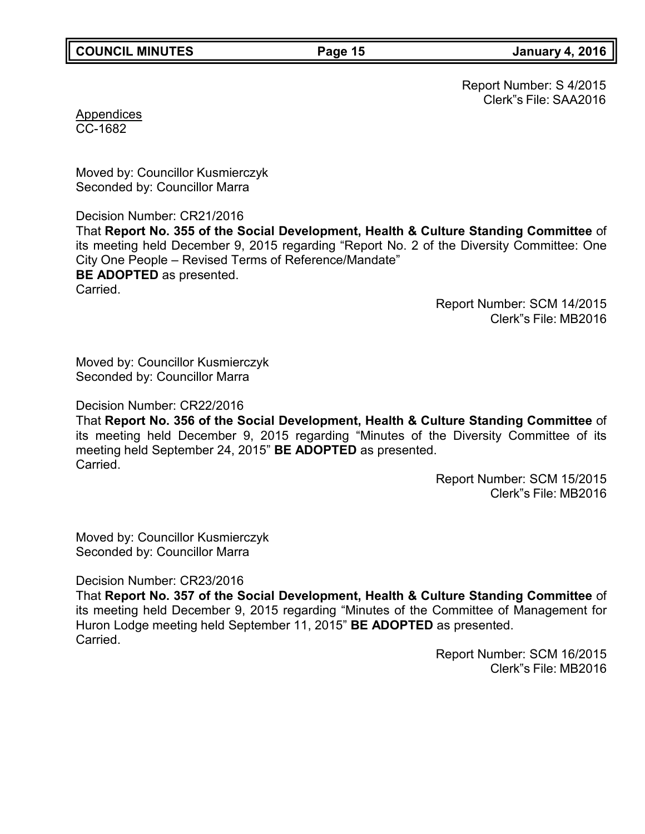Report Number: S 4/2015 Clerk"s File: SAA2016

Appendices CC-1682

Moved by: Councillor Kusmierczyk Seconded by: Councillor Marra

Decision Number: CR21/2016 That **Report No. 355 of the Social Development, Health & Culture Standing Committee** of its meeting held December 9, 2015 regarding "Report No. 2 of the Diversity Committee: One City One People – Revised Terms of Reference/Mandate" **BE ADOPTED** as presented. Carried.

Report Number: SCM 14/2015 Clerk"s File: MB2016

Moved by: Councillor Kusmierczyk Seconded by: Councillor Marra

Decision Number: CR22/2016

That **Report No. 356 of the Social Development, Health & Culture Standing Committee** of its meeting held December 9, 2015 regarding "Minutes of the Diversity Committee of its meeting held September 24, 2015" **BE ADOPTED** as presented. Carried.

> Report Number: SCM 15/2015 Clerk"s File: MB2016

Moved by: Councillor Kusmierczyk Seconded by: Councillor Marra

Decision Number: CR23/2016

That **Report No. 357 of the Social Development, Health & Culture Standing Committee** of its meeting held December 9, 2015 regarding "Minutes of the Committee of Management for Huron Lodge meeting held September 11, 2015" **BE ADOPTED** as presented. **Carried** 

> Report Number: SCM 16/2015 Clerk"s File: MB2016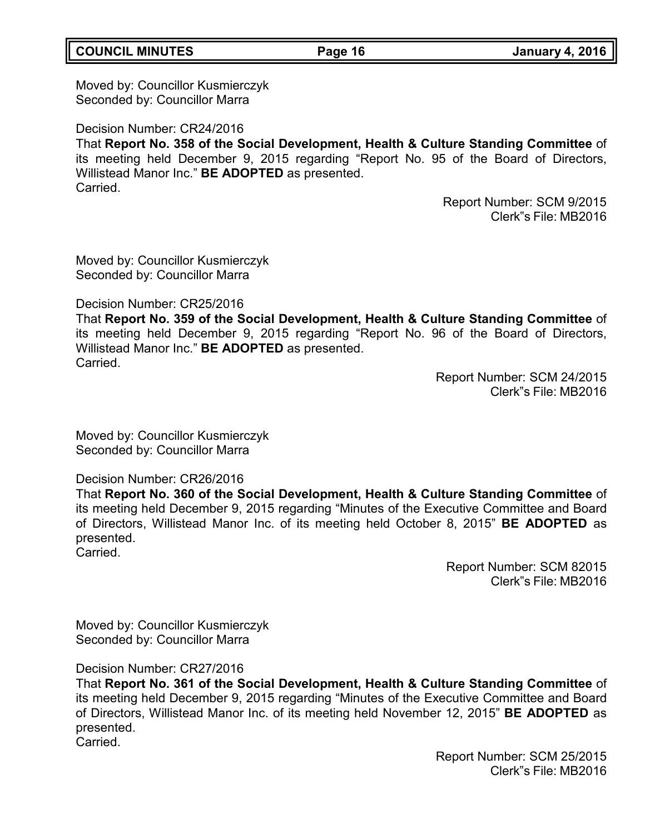# **COUNCIL MINUTES Page 16 January 4, 2016**

Moved by: Councillor Kusmierczyk Seconded by: Councillor Marra

Decision Number: CR24/2016 That **Report No. 358 of the Social Development, Health & Culture Standing Committee** of its meeting held December 9, 2015 regarding "Report No. 95 of the Board of Directors, Willistead Manor Inc." **BE ADOPTED** as presented. Carried.

> Report Number: SCM 9/2015 Clerk"s File: MB2016

Moved by: Councillor Kusmierczyk Seconded by: Councillor Marra

Decision Number: CR25/2016

That **Report No. 359 of the Social Development, Health & Culture Standing Committee** of its meeting held December 9, 2015 regarding "Report No. 96 of the Board of Directors, Willistead Manor Inc." **BE ADOPTED** as presented. Carried.

> Report Number: SCM 24/2015 Clerk"s File: MB2016

Moved by: Councillor Kusmierczyk Seconded by: Councillor Marra

Decision Number: CR26/2016

That **Report No. 360 of the Social Development, Health & Culture Standing Committee** of its meeting held December 9, 2015 regarding "Minutes of the Executive Committee and Board of Directors, Willistead Manor Inc. of its meeting held October 8, 2015" **BE ADOPTED** as presented. Carried.

> Report Number: SCM 82015 Clerk"s File: MB2016

Moved by: Councillor Kusmierczyk Seconded by: Councillor Marra

Decision Number: CR27/2016

That **Report No. 361 of the Social Development, Health & Culture Standing Committee** of its meeting held December 9, 2015 regarding "Minutes of the Executive Committee and Board of Directors, Willistead Manor Inc. of its meeting held November 12, 2015" **BE ADOPTED** as presented.

Carried.

Report Number: SCM 25/2015 Clerk"s File: MB2016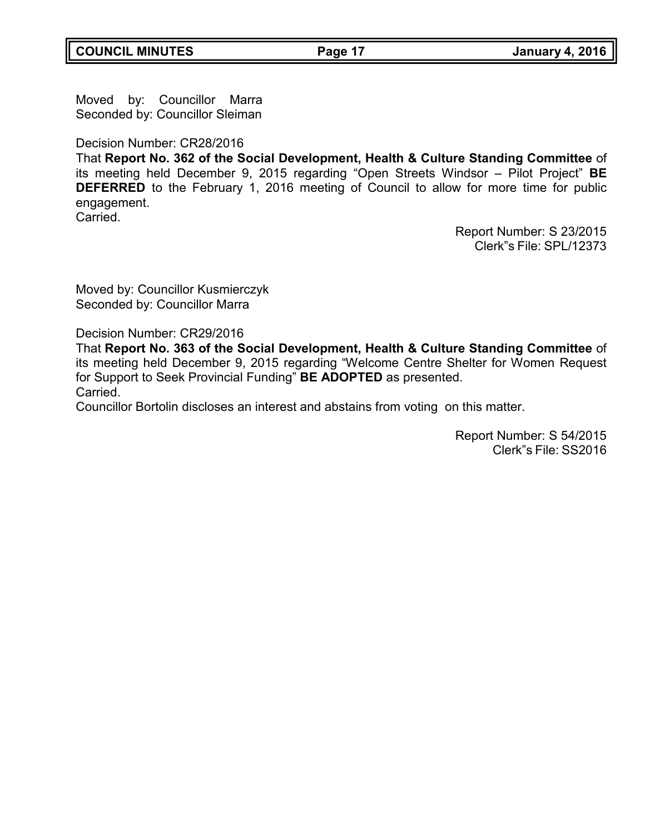Moved by: Councillor Marra Seconded by: Councillor Sleiman

Decision Number: CR28/2016

That **Report No. 362 of the Social Development, Health & Culture Standing Committee** of its meeting held December 9, 2015 regarding "Open Streets Windsor – Pilot Project" **BE DEFERRED** to the February 1, 2016 meeting of Council to allow for more time for public engagement. **Carried** 

> Report Number: S 23/2015 Clerk"s File: SPL/12373

Moved by: Councillor Kusmierczyk Seconded by: Councillor Marra

Decision Number: CR29/2016

That **Report No. 363 of the Social Development, Health & Culture Standing Committee** of its meeting held December 9, 2015 regarding "Welcome Centre Shelter for Women Request for Support to Seek Provincial Funding" **BE ADOPTED** as presented. Carried.

Councillor Bortolin discloses an interest and abstains from voting on this matter.

Report Number: S 54/2015 Clerk"s File: SS2016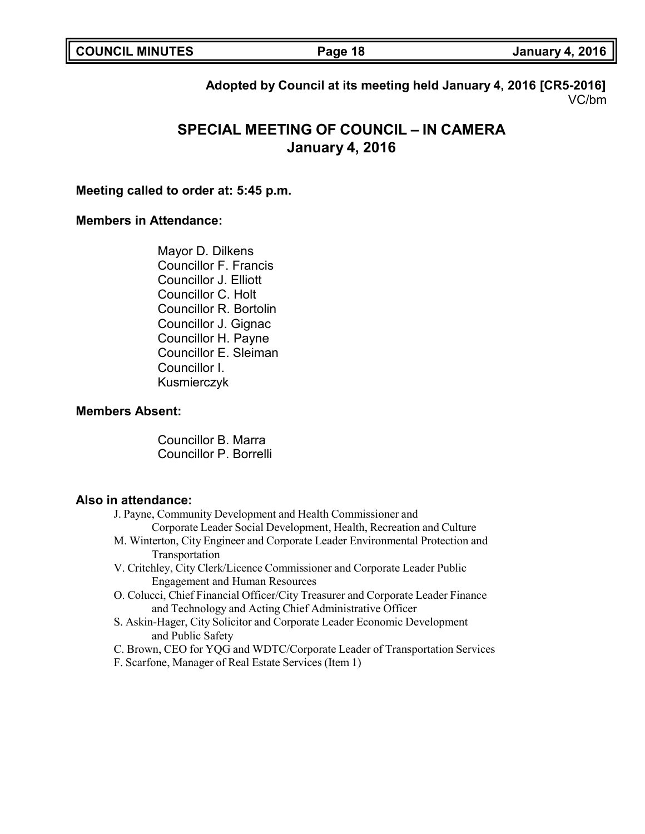| <b>COUNCIL MINUTES</b> |  |  |
|------------------------|--|--|
|------------------------|--|--|

**COUNCIL MINUTES Page 18 January 4, 2016**

**Adopted by Council at its meeting held January 4, 2016 [CR5-2016]** VC/bm

# **SPECIAL MEETING OF COUNCIL – IN CAMERA January 4, 2016**

### **Meeting called to order at: 5:45 p.m.**

### **Members in Attendance:**

Mayor D. Dilkens Councillor F. Francis Councillor J. Elliott Councillor C. Holt Councillor R. Bortolin Councillor J. Gignac Councillor H. Payne Councillor E. Sleiman Councillor I. Kusmierczyk

### **Members Absent:**

Councillor B. Marra Councillor P. Borrelli

### **Also in attendance:**

- J. Payne, Community Development and Health Commissioner and Corporate Leader Social Development, Health, Recreation and Culture
- M. Winterton, City Engineer and Corporate Leader Environmental Protection and Transportation
- V. Critchley, City Clerk/Licence Commissioner and Corporate Leader Public Engagement and Human Resources
- O. Colucci, Chief Financial Officer/City Treasurer and Corporate Leader Finance and Technology and Acting Chief Administrative Officer
- S. Askin-Hager, City Solicitor and Corporate Leader Economic Development and Public Safety
- C. Brown, CEO for YQG and WDTC/Corporate Leader of Transportation Services
- F. Scarfone, Manager of Real Estate Services (Item 1)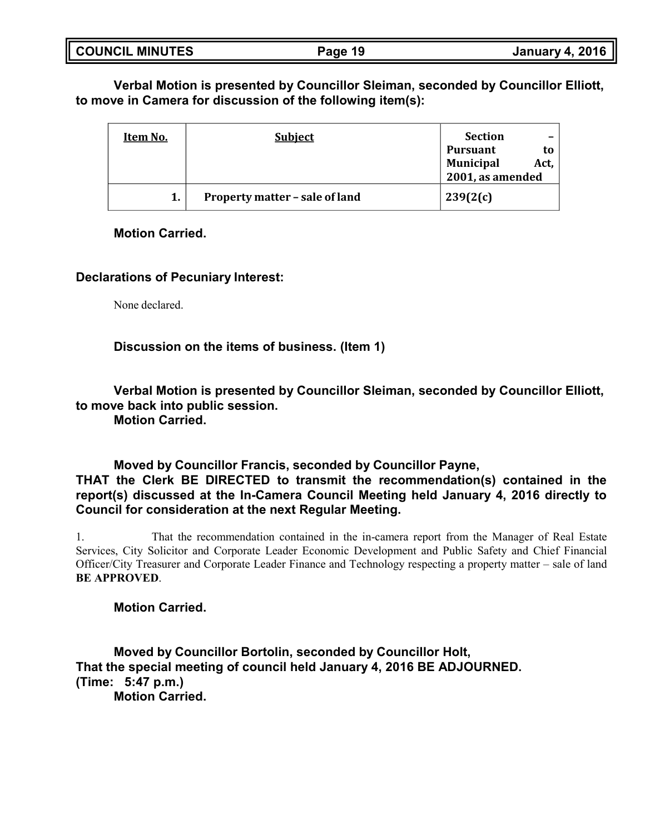| <b>COUNCIL MINUTES</b> | Page 19 | <b>January 4, 2016</b> |
|------------------------|---------|------------------------|
|                        |         |                        |

**Verbal Motion is presented by Councillor Sleiman, seconded by Councillor Elliott, to move in Camera for discussion of the following item(s):**

| Item No. | <b>Subject</b>                 | <b>Section</b>   |      |
|----------|--------------------------------|------------------|------|
|          |                                | Pursuant         | to   |
|          |                                | <b>Municipal</b> | Act, |
|          |                                | 2001, as amended |      |
|          | Property matter - sale of land | 239(2(c)         |      |

### **Motion Carried.**

### **Declarations of Pecuniary Interest:**

None declared.

**Discussion on the items of business. (Item 1)**

**Verbal Motion is presented by Councillor Sleiman, seconded by Councillor Elliott, to move back into public session.**

**Motion Carried.**

**Moved by Councillor Francis, seconded by Councillor Payne, THAT the Clerk BE DIRECTED to transmit the recommendation(s) contained in the report(s) discussed at the In-Camera Council Meeting held January 4, 2016 directly to Council for consideration at the next Regular Meeting.**

1. That the recommendation contained in the in-camera report from the Manager of Real Estate Services, City Solicitor and Corporate Leader Economic Development and Public Safety and Chief Financial Officer/City Treasurer and Corporate Leader Finance and Technology respecting a property matter – sale of land **BE APPROVED**.

**Motion Carried.**

**Moved by Councillor Bortolin, seconded by Councillor Holt, That the special meeting of council held January 4, 2016 BE ADJOURNED. (Time: 5:47 p.m.) Motion Carried.**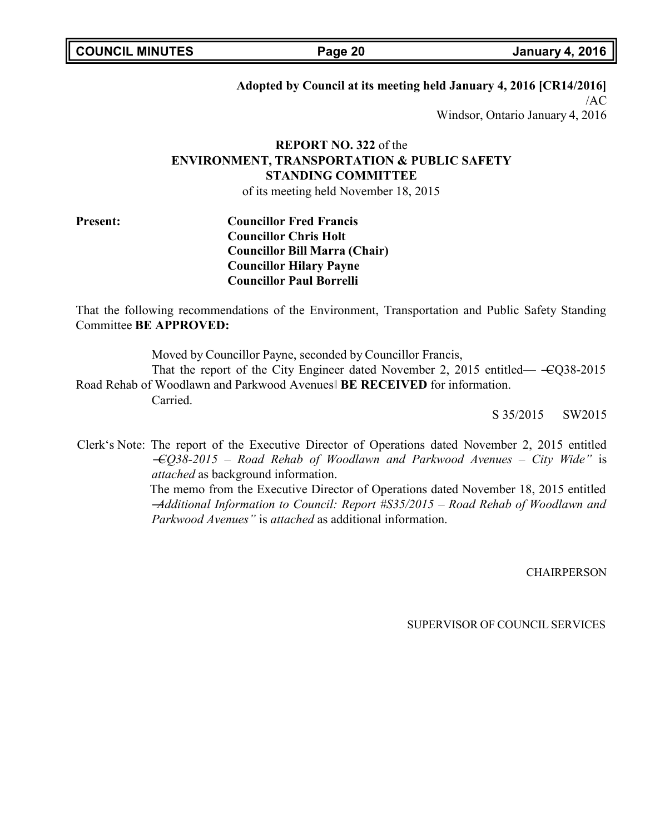| <b>COUNCIL MINUTES</b> |  |
|------------------------|--|
|------------------------|--|

**COUNCIL MINUTES Page 20 January 4, 2016**

### **Adopted by Council at its meeting held January 4, 2016 [CR14/2016]**

/AC Windsor, Ontario January 4, 2016

# **REPORT NO. 322** of the **ENVIRONMENT, TRANSPORTATION & PUBLIC SAFETY STANDING COMMITTEE**

of its meeting held November 18, 2015

**Present: Councillor Fred Francis Councillor Chris Holt Councillor Bill Marra (Chair) Councillor Hilary Payne Councillor Paul Borrelli**

That the following recommendations of the Environment, Transportation and Public Safety Standing Committee **BE APPROVED:**

Moved by Councillor Payne, seconded by Councillor Francis,

That the report of the City Engineer dated November 2, 2015 entitled— $\text{ }- \text{ }CQ38-2015$ Road Rehab of Woodlawn and Parkwood Avenues‖ **BE RECEIVED** for information. Carried.

S 35/2015 SW2015

Clerk's Note: The report of the Executive Director of Operations dated November 2, 2015 entitled ―*CQ38-2015 – Road Rehab of Woodlawn and Parkwood Avenues – City Wide"* is *attached* as background information.

The memo from the Executive Director of Operations dated November 18, 2015 entitled ―*Additional Information to Council: Report #S35/2015 – Road Rehab of Woodlawn and Parkwood Avenues"* is *attached* as additional information.

**CHAIRPERSON**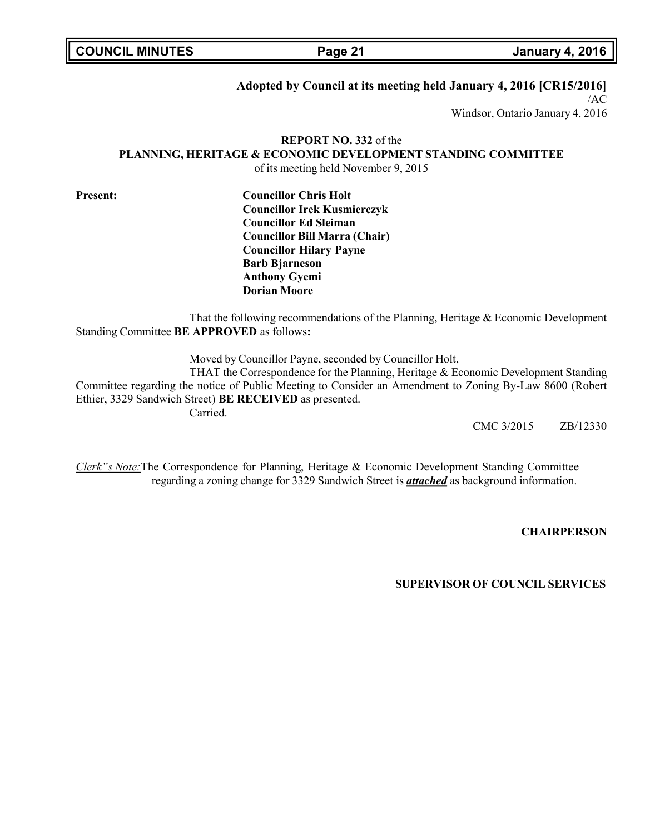**COUNCIL MINUTES Page 21 January 4, 2016**

### **Adopted by Council at its meeting held January 4, 2016 [CR15/2016]**

/AC Windsor, Ontario January 4, 2016

# **REPORT NO. 332** of the **PLANNING, HERITAGE & ECONOMIC DEVELOPMENT STANDING COMMITTEE**

of its meeting held November 9, 2015

**Present: Councillor Chris Holt Councillor Irek Kusmierczyk Councillor Ed Sleiman Councillor Bill Marra (Chair) Councillor Hilary Payne Barb Bjarneson Anthony Gyemi Dorian Moore**

That the following recommendations of the Planning, Heritage & Economic Development Standing Committee **BE APPROVED** as follows**:**

Moved by Councillor Payne, seconded by Councillor Holt,

THAT the Correspondence for the Planning, Heritage & Economic Development Standing Committee regarding the notice of Public Meeting to Consider an Amendment to Zoning By-Law 8600 (Robert Ethier, 3329 Sandwich Street) **BE RECEIVED** as presented. Carried.

CMC 3/2015 ZB/12330

*Clerk"s Note:*The Correspondence for Planning, Heritage & Economic Development Standing Committee regarding a zoning change for 3329 Sandwich Street is *attached* as background information.

**CHAIRPERSON**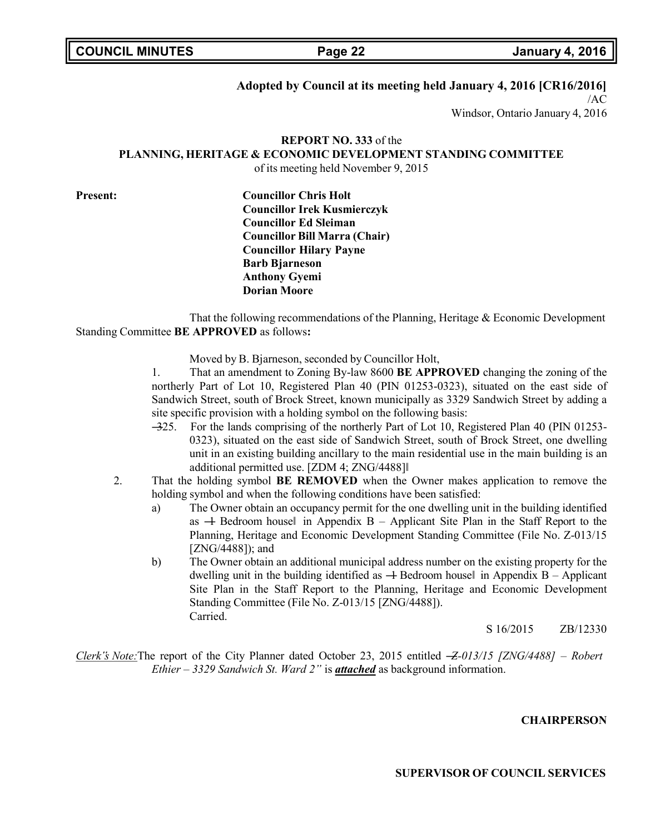**COUNCIL MINUTES Page 22 January 4, 2016**

### **Adopted by Council at its meeting held January 4, 2016 [CR16/2016]**

/AC

Windsor, Ontario January 4, 2016

# **REPORT NO. 333** of the **PLANNING, HERITAGE & ECONOMIC DEVELOPMENT STANDING COMMITTEE**

of its meeting held November 9, 2015

**Present: Councillor Chris Holt Councillor Irek Kusmierczyk Councillor Ed Sleiman Councillor Bill Marra (Chair) Councillor Hilary Payne Barb Bjarneson Anthony Gyemi Dorian Moore**

That the following recommendations of the Planning, Heritage & Economic Development Standing Committee **BE APPROVED** as follows**:**

Moved by B. Bjarneson, seconded by Councillor Holt,

1. That an amendment to Zoning By-law 8600 **BE APPROVED** changing the zoning of the northerly Part of Lot 10, Registered Plan 40 (PIN 01253-0323), situated on the east side of Sandwich Street, south of Brock Street, known municipally as 3329 Sandwich Street by adding a site specific provision with a holding symbol on the following basis:

- ―325. For the lands comprising of the northerly Part of Lot 10, Registered Plan 40 (PIN 01253- 0323), situated on the east side of Sandwich Street, south of Brock Street, one dwelling unit in an existing building ancillary to the main residential use in the main building is an additional permitted use. [ZDM 4; ZNG/4488]‖
- 2. That the holding symbol **BE REMOVED** when the Owner makes application to remove the holding symbol and when the following conditions have been satisfied:
	- a) The Owner obtain an occupancy permit for the one dwelling unit in the building identified as  $\rightarrow$  Bedroom housel in Appendix B – Applicant Site Plan in the Staff Report to the Planning, Heritage and Economic Development Standing Committee (File No. Z-013/15 [ZNG/4488]); and
	- b) The Owner obtain an additional municipal address number on the existing property for the dwelling unit in the building identified as  $-$  Bedroom housel in Appendix B – Applicant Site Plan in the Staff Report to the Planning, Heritage and Economic Development Standing Committee (File No. Z-013/15 [ZNG/4488]). Carried.

S 16/2015 ZB/12330

*Clerk"s Note:*The report of the City Planner dated October 23, 2015 entitled ―*Z-013/15 [ZNG/4488] – Robert Ethier – 3329 Sandwich St. Ward 2"* is *attached* as background information.

**CHAIRPERSON**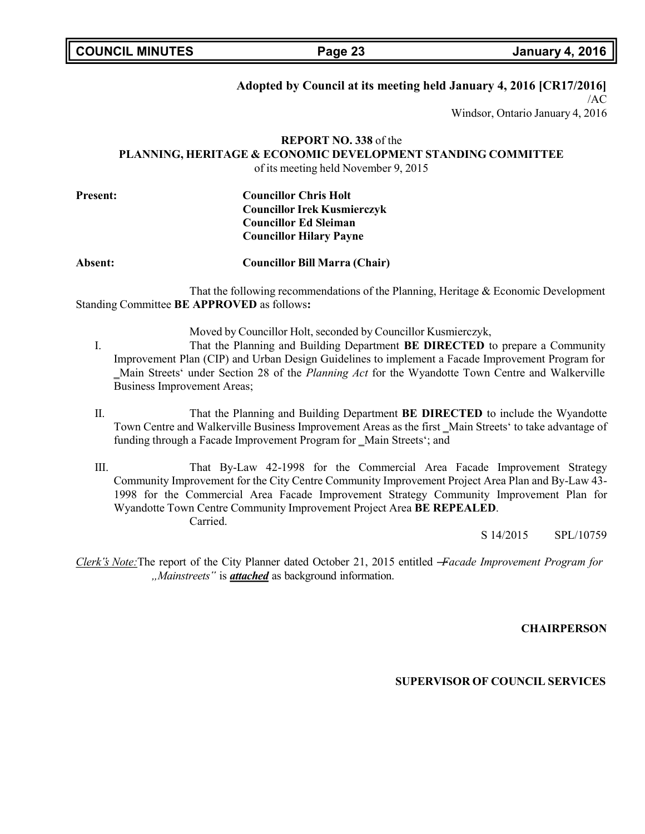**COUNCIL MINUTES Page 23 January 4, 2016**

### **Adopted by Council at its meeting held January 4, 2016 [CR17/2016]**

/AC

Windsor, Ontario January 4, 2016

# **REPORT NO. 338** of the **PLANNING, HERITAGE & ECONOMIC DEVELOPMENT STANDING COMMITTEE**

of its meeting held November 9, 2015

**Present: Councillor Chris Holt Councillor Irek Kusmierczyk Councillor Ed Sleiman Councillor Hilary Payne**

**Absent: Councillor Bill Marra (Chair)**

That the following recommendations of the Planning, Heritage & Economic Development Standing Committee **BE APPROVED** as follows**:**

Moved by Councillor Holt, seconded by Councillor Kusmierczyk,

- I. That the Planning and Building Department **BE DIRECTED** to prepare a Community Improvement Plan (CIP) and Urban Design Guidelines to implement a Facade Improvement Program for ‗Main Streets' under Section 28 of the *Planning Act* for the Wyandotte Town Centre and Walkerville Business Improvement Areas;
- II. That the Planning and Building Department **BE DIRECTED** to include the Wyandotte Town Centre and Walkerville Business Improvement Areas as the first \_Main Streets' to take advantage of funding through a Facade Improvement Program for Main Streets'; and
- III. That By-Law 42-1998 for the Commercial Area Facade Improvement Strategy Community Improvement for the City Centre Community Improvement Project Area Plan and By-Law 43- 1998 for the Commercial Area Facade Improvement Strategy Community Improvement Plan for Wyandotte Town Centre Community Improvement Project Area **BE REPEALED**. Carried.

S 14/2015 SPL/10759

*Clerk"s Note:*The report of the City Planner dated October 21, 2015 entitled ―*Facade Improvement Program for "Mainstreets"* is *attached* as background information.

**CHAIRPERSON**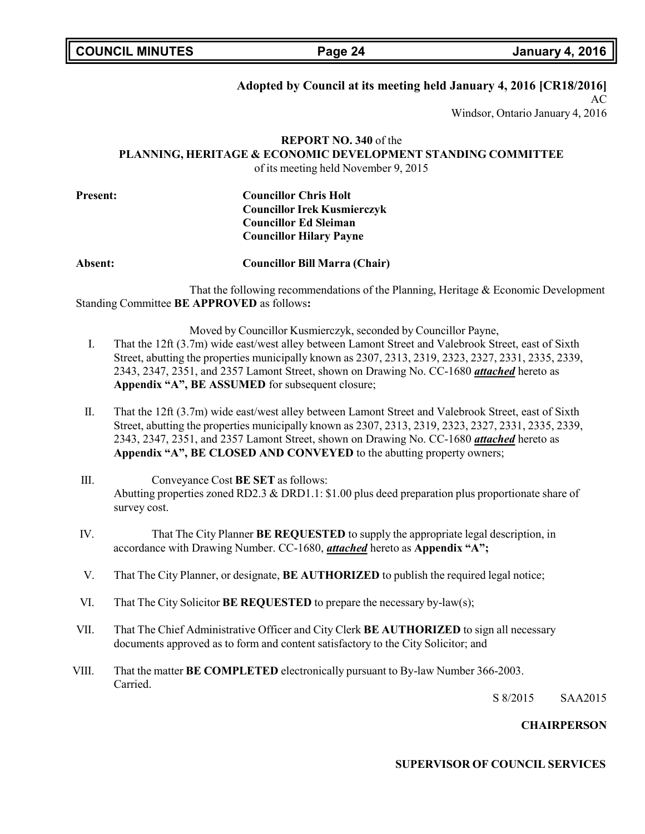**COUNCIL MINUTES Page 24 January 4, 2016**

### **Adopted by Council at its meeting held January 4, 2016 [CR18/2016]**

AC

Windsor, Ontario January 4, 2016

### **REPORT NO. 340** of the **PLANNING, HERITAGE & ECONOMIC DEVELOPMENT STANDING COMMITTEE**  $f$  its meeting held November 9, 2015

|  | of its meeting held November 9, 2013 |  |  |  |
|--|--------------------------------------|--|--|--|
|  |                                      |  |  |  |

| <b>Councillor Irek Kusmierczyk</b> |
|------------------------------------|
| <b>Councillor Ed Sleiman</b>       |
| <b>Councillor Hilary Payne</b>     |
|                                    |

**Absent: Councillor Bill Marra (Chair)**

That the following recommendations of the Planning, Heritage & Economic Development Standing Committee **BE APPROVED** as follows**:**

Moved by Councillor Kusmierczyk, seconded by Councillor Payne,

- I. That the 12ft (3.7m) wide east/west alley between Lamont Street and Valebrook Street, east of Sixth Street, abutting the properties municipally known as 2307, 2313, 2319, 2323, 2327, 2331, 2335, 2339, 2343, 2347, 2351, and 2357 Lamont Street, shown on Drawing No. CC-1680 *attached* hereto as **Appendix "A", BE ASSUMED** for subsequent closure;
- II. That the 12ft (3.7m) wide east/west alley between Lamont Street and Valebrook Street, east of Sixth Street, abutting the properties municipally known as 2307, 2313, 2319, 2323, 2327, 2331, 2335, 2339, 2343, 2347, 2351, and 2357 Lamont Street, shown on Drawing No. CC-1680 *attached* hereto as **Appendix "A", BE CLOSED AND CONVEYED** to the abutting property owners;
- III. Conveyance Cost **BE SET** as follows: Abutting properties zoned RD2.3 & DRD1.1: \$1.00 plus deed preparation plus proportionate share of survey cost.
- IV. That The City Planner **BE REQUESTED** to supply the appropriate legal description, in accordance with Drawing Number. CC-1680, *attached* hereto as **Appendix "A";**
- V. That The City Planner, or designate, **BE AUTHORIZED** to publish the required legal notice;
- VI. That The City Solicitor **BE REQUESTED** to prepare the necessary by-law(s);
- VII. That The Chief Administrative Officer and City Clerk **BE AUTHORIZED** to sign all necessary documents approved as to form and content satisfactory to the City Solicitor; and
- VIII. That the matter **BE COMPLETED** electronically pursuant to By-law Number 366-2003. Carried.

S 8/2015 SAA2015

### **CHAIRPERSON**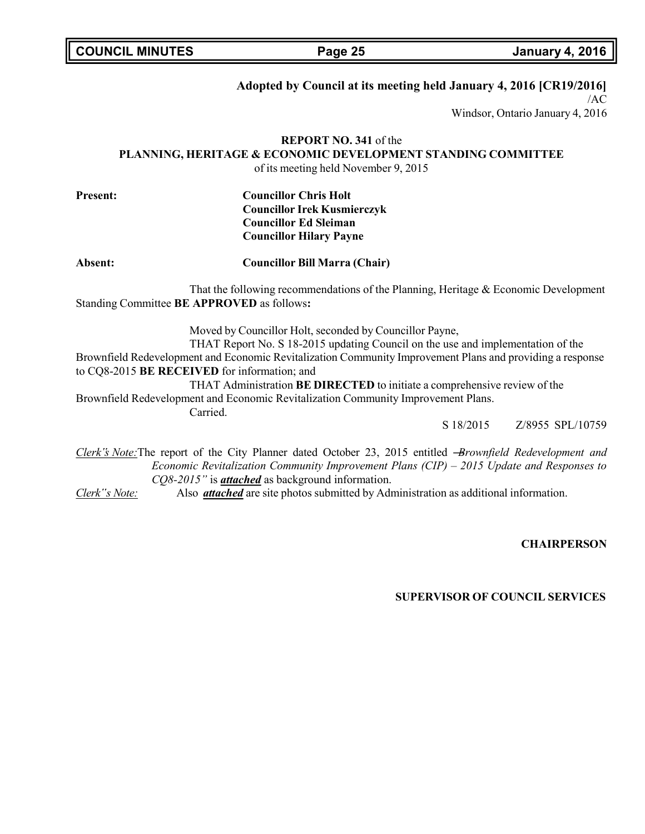**COUNCIL MINUTES Page 25 January 4, 2016**

# **Adopted by Council at its meeting held January 4, 2016 [CR19/2016]**

/AC

Windsor, Ontario January 4, 2016

# **REPORT NO. 341** of the **PLANNING, HERITAGE & ECONOMIC DEVELOPMENT STANDING COMMITTEE**

of its meeting held November 9, 2015

| <b>Present:</b> | <b>Councillor Chris Holt</b>         |
|-----------------|--------------------------------------|
|                 | <b>Councillor Irek Kusmierczyk</b>   |
|                 | <b>Councillor Ed Sleiman</b>         |
|                 | <b>Councillor Hilary Payne</b>       |
| Absent:         | <b>Councillor Bill Marra (Chair)</b> |

That the following recommendations of the Planning, Heritage & Economic Development Standing Committee **BE APPROVED** as follows**:**

Moved by Councillor Holt, seconded by Councillor Payne,

THAT Report No. S 18-2015 updating Council on the use and implementation of the Brownfield Redevelopment and Economic Revitalization Community Improvement Plans and providing a response to CQ8-2015 **BE RECEIVED** for information; and THAT Administration **BE DIRECTED** to initiate a comprehensive review of the

Brownfield Redevelopment and Economic Revitalization Community Improvement Plans.

Carried.

S 18/2015 Z/8955 SPL/10759

*Clerk"s Note:*The report of the City Planner dated October 23, 2015 entitled ―*Brownfield Redevelopment and Economic Revitalization Community Improvement Plans (CIP) – 2015 Update and Responses to CQ8-2015"* is *attached* as background information.

*Clerk"s Note:* Also *attached* are site photos submitted by Administration as additional information.

**CHAIRPERSON**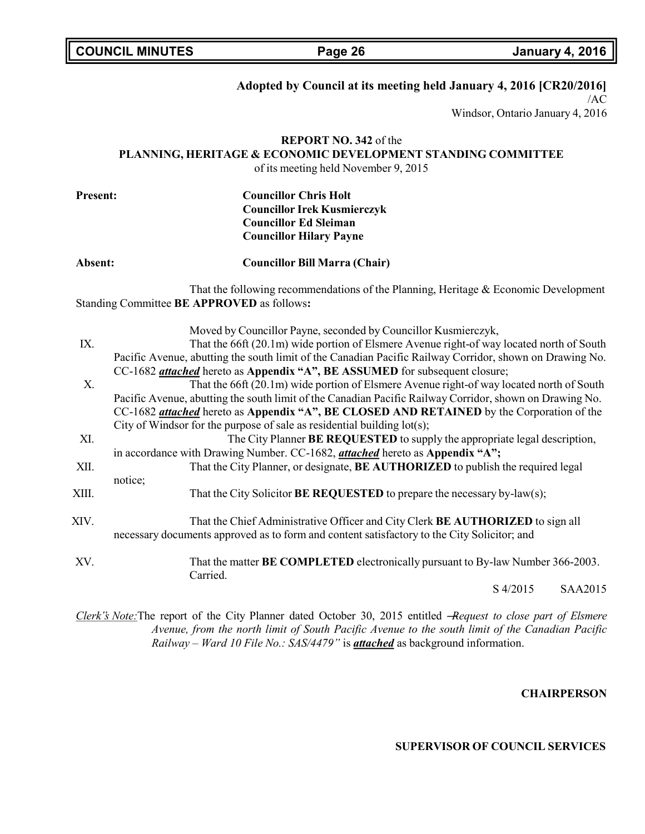**COUNCIL MINUTES Page 26 January 4, 2016**

### **Adopted by Council at its meeting held January 4, 2016 [CR20/2016]**

 $/AC$ 

Windsor, Ontario January 4, 2016

# **REPORT NO. 342** of the **PLANNING, HERITAGE & ECONOMIC DEVELOPMENT STANDING COMMITTEE**

of its meeting held November 9, 2015

| <b>Present:</b> | <b>Councillor Chris Holt</b><br><b>Councillor Irek Kusmierczyk</b><br><b>Councillor Ed Sleiman</b><br><b>Councillor Hilary Payne</b>                                                                                                                                  |
|-----------------|-----------------------------------------------------------------------------------------------------------------------------------------------------------------------------------------------------------------------------------------------------------------------|
| Absent:         | <b>Councillor Bill Marra (Chair)</b>                                                                                                                                                                                                                                  |
|                 | That the following recommendations of the Planning, Heritage & Economic Development<br>Standing Committee BE APPROVED as follows:                                                                                                                                     |
| IX.             | Moved by Councillor Payne, seconded by Councillor Kusmierczyk,<br>That the 66ft (20.1m) wide portion of Elsmere Avenue right-of way located north of South<br>Pacific Avenue, abutting the south limit of the Canadian Pacific Railway Corridor, shown on Drawing No. |
|                 | CC-1682 <i>attached</i> hereto as <b>Appendix "A", BE ASSUMED</b> for subsequent closure;                                                                                                                                                                             |
|                 | That the 66ft (20 1m) wide portion of Flsmere Avenue right-of way located north of South                                                                                                                                                                              |

X. That the 66ft (20.1m) wide portion of Elsmere Avenue right-of way located north of South Pacific Avenue, abutting the south limit of the Canadian Pacific Railway Corridor, shown on Drawing No. CC-1682 *attached* hereto as **Appendix "A", BE CLOSED AND RETAINED** by the Corporation of the City of Windsor for the purpose of sale as residential building lot(s);

XI. The City Planner **BE REQUESTED** to supply the appropriate legal description, in accordance with Drawing Number. CC-1682, *attached* hereto as **Appendix "A";**

- XII. That the City Planner, or designate, **BE AUTHORIZED** to publish the required legal notice;
- XIII. That the City Solicitor **BE REQUESTED** to prepare the necessary by-law(s);
- XIV. That the Chief Administrative Officer and City Clerk **BE AUTHORIZED** to sign all necessary documents approved as to form and content satisfactory to the City Solicitor; and
- XV. That the matter **BE COMPLETED** electronically pursuant to By-law Number 366-2003. Carried.

S 4/2015 SAA2015

*Clerk"s Note:*The report of the City Planner dated October 30, 2015 entitled ―*Request to close part of Elsmere Avenue, from the north limit of South Pacific Avenue to the south limit of the Canadian Pacific Railway – Ward 10 File No.: SAS/4479"* is *attached* as background information.

**CHAIRPERSON**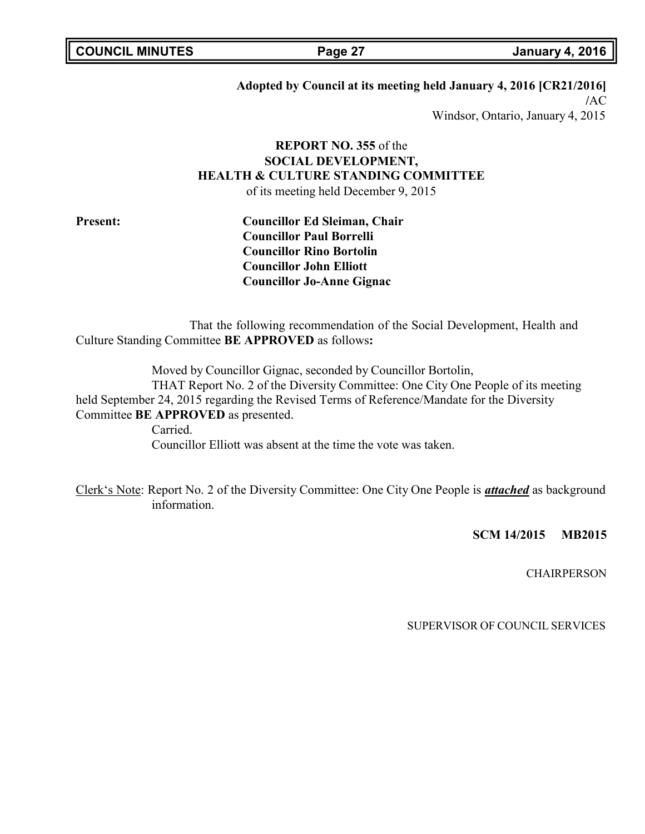|  | <b>COUNCIL MINUTES</b> |
|--|------------------------|
|--|------------------------|

**COUNCIL MINUTES Page 27 January 4, 2016**

### **Adopted by Council at its meeting held January 4, 2016 [CR21/2016]**

**/**AC Windsor, Ontario, January 4, 2015

# **REPORT NO. 355** of the **SOCIAL DEVELOPMENT, HEALTH & CULTURE STANDING COMMITTEE**

of its meeting held December 9, 2015

**Present: Councillor Ed Sleiman, Chair Councillor Paul Borrelli Councillor Rino Bortolin Councillor John Elliott Councillor Jo-Anne Gignac**

That the following recommendation of the Social Development, Health and Culture Standing Committee **BE APPROVED** as follows**:**

Moved by Councillor Gignac, seconded by Councillor Bortolin,

THAT Report No. 2 of the Diversity Committee: One City One People of its meeting held September 24, 2015 regarding the Revised Terms of Reference/Mandate for the Diversity Committee **BE APPROVED** as presented.

> Carried. Councillor Elliott was absent at the time the vote was taken.

Clerk's Note: Report No. 2 of the Diversity Committee: One City One People is *attached* as background information.

**SCM 14/2015 MB2015**

**CHAIRPERSON**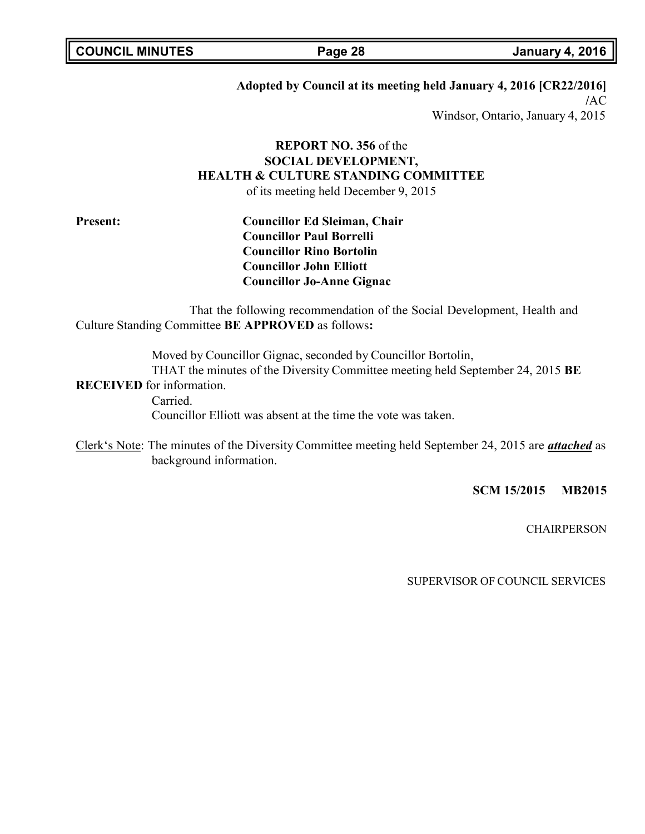### **Adopted by Council at its meeting held January 4, 2016 [CR22/2016]**

**/**AC Windsor, Ontario, January 4, 2015

# **REPORT NO. 356** of the **SOCIAL DEVELOPMENT, HEALTH & CULTURE STANDING COMMITTEE**

of its meeting held December 9, 2015

**Present: Councillor Ed Sleiman, Chair Councillor Paul Borrelli Councillor Rino Bortolin Councillor John Elliott Councillor Jo-Anne Gignac**

That the following recommendation of the Social Development, Health and Culture Standing Committee **BE APPROVED** as follows**:**

Moved by Councillor Gignac, seconded by Councillor Bortolin, THAT the minutes of the Diversity Committee meeting held September 24, 2015 **BE**

**RECEIVED** for information. Carried.

Councillor Elliott was absent at the time the vote was taken.

Clerk's Note: The minutes of the Diversity Committee meeting held September 24, 2015 are *attached* as background information.

**SCM 15/2015 MB2015**

**CHAIRPERSON**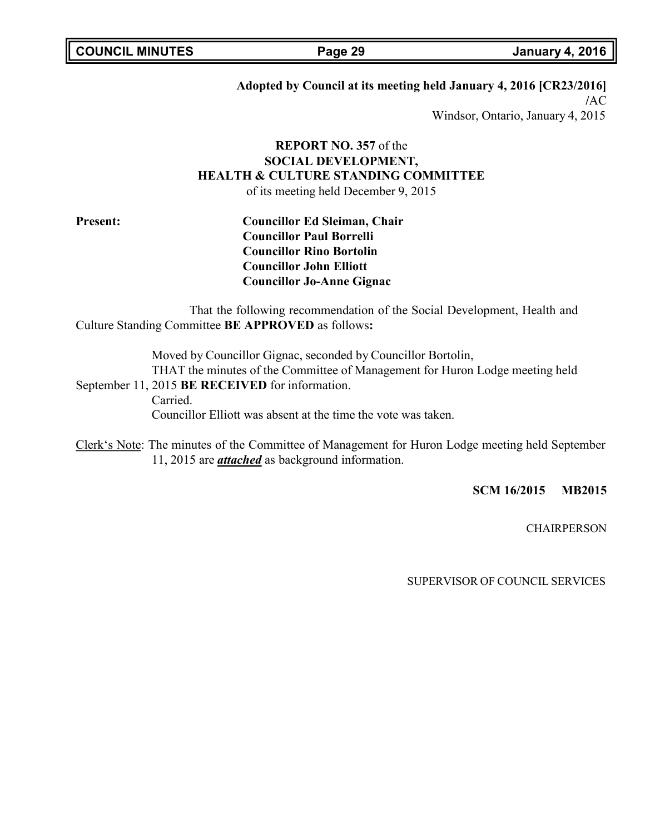### **Adopted by Council at its meeting held January 4, 2016 [CR23/2016]**

**/**AC Windsor, Ontario, January 4, 2015

# **REPORT NO. 357** of the **SOCIAL DEVELOPMENT, HEALTH & CULTURE STANDING COMMITTEE**

of its meeting held December 9, 2015

**Present: Councillor Ed Sleiman, Chair Councillor Paul Borrelli Councillor Rino Bortolin Councillor John Elliott Councillor Jo-Anne Gignac**

That the following recommendation of the Social Development, Health and Culture Standing Committee **BE APPROVED** as follows**:**

Moved by Councillor Gignac, seconded by Councillor Bortolin, THAT the minutes of the Committee of Management for Huron Lodge meeting held September 11, 2015 **BE RECEIVED** for information. Carried.

Councillor Elliott was absent at the time the vote was taken.

Clerk's Note: The minutes of the Committee of Management for Huron Lodge meeting held September 11, 2015 are *attached* as background information.

**SCM 16/2015 MB2015**

**CHAIRPERSON**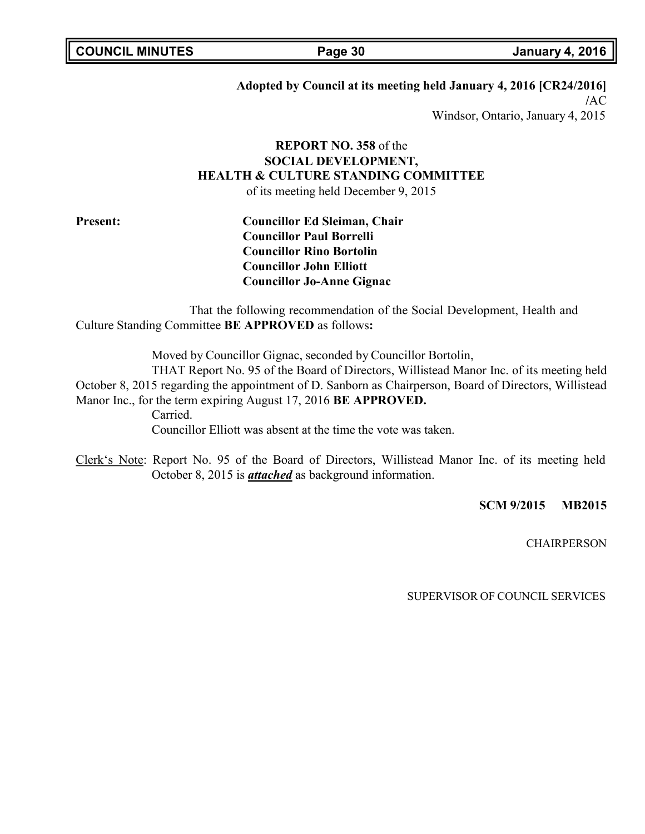### **Adopted by Council at its meeting held January 4, 2016 [CR24/2016]**

**/**AC Windsor, Ontario, January 4, 2015

# **REPORT NO. 358** of the **SOCIAL DEVELOPMENT, HEALTH & CULTURE STANDING COMMITTEE**

of its meeting held December 9, 2015

**Present: Councillor Ed Sleiman, Chair Councillor Paul Borrelli Councillor Rino Bortolin Councillor John Elliott Councillor Jo-Anne Gignac**

That the following recommendation of the Social Development, Health and Culture Standing Committee **BE APPROVED** as follows**:**

Moved by Councillor Gignac, seconded by Councillor Bortolin,

THAT Report No. 95 of the Board of Directors, Willistead Manor Inc. of its meeting held October 8, 2015 regarding the appointment of D. Sanborn as Chairperson, Board of Directors, Willistead Manor Inc., for the term expiring August 17, 2016 **BE APPROVED.**

Carried.

Councillor Elliott was absent at the time the vote was taken.

Clerk's Note: Report No. 95 of the Board of Directors, Willistead Manor Inc. of its meeting held October 8, 2015 is *attached* as background information.

**SCM 9/2015 MB2015**

**CHAIRPERSON**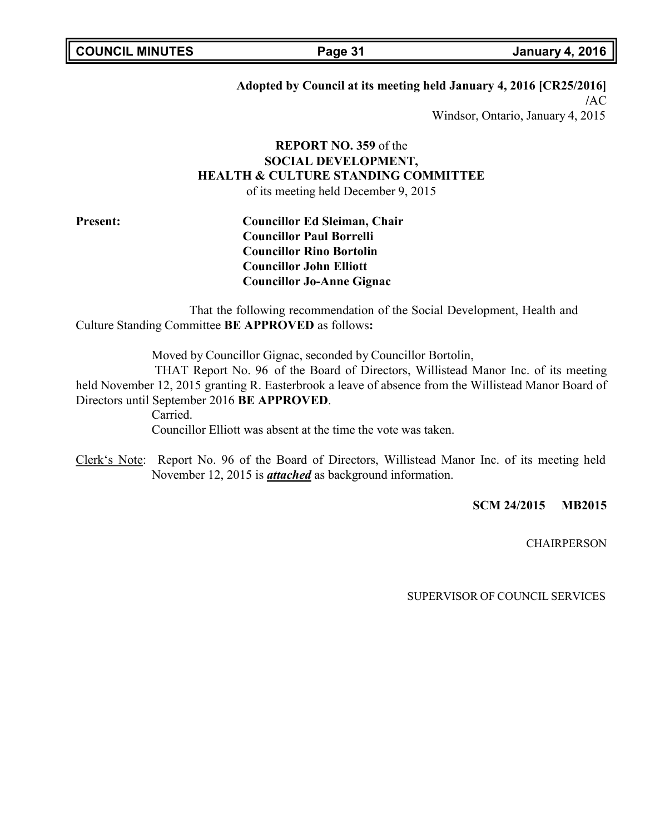### **Adopted by Council at its meeting held January 4, 2016 [CR25/2016]**

**/**AC Windsor, Ontario, January 4, 2015

# **REPORT NO. 359** of the **SOCIAL DEVELOPMENT, HEALTH & CULTURE STANDING COMMITTEE**

of its meeting held December 9, 2015

**Present: Councillor Ed Sleiman, Chair Councillor Paul Borrelli Councillor Rino Bortolin Councillor John Elliott Councillor Jo-Anne Gignac**

That the following recommendation of the Social Development, Health and Culture Standing Committee **BE APPROVED** as follows**:**

Moved by Councillor Gignac, seconded by Councillor Bortolin,

THAT Report No. 96 of the Board of Directors, Willistead Manor Inc. of its meeting held November 12, 2015 granting R. Easterbrook a leave of absence from the Willistead Manor Board of Directors until September 2016 **BE APPROVED**.

Carried.

Councillor Elliott was absent at the time the vote was taken.

Clerk's Note: Report No. 96 of the Board of Directors, Willistead Manor Inc. of its meeting held November 12, 2015 is *attached* as background information.

**SCM 24/2015 MB2015**

**CHAIRPERSON**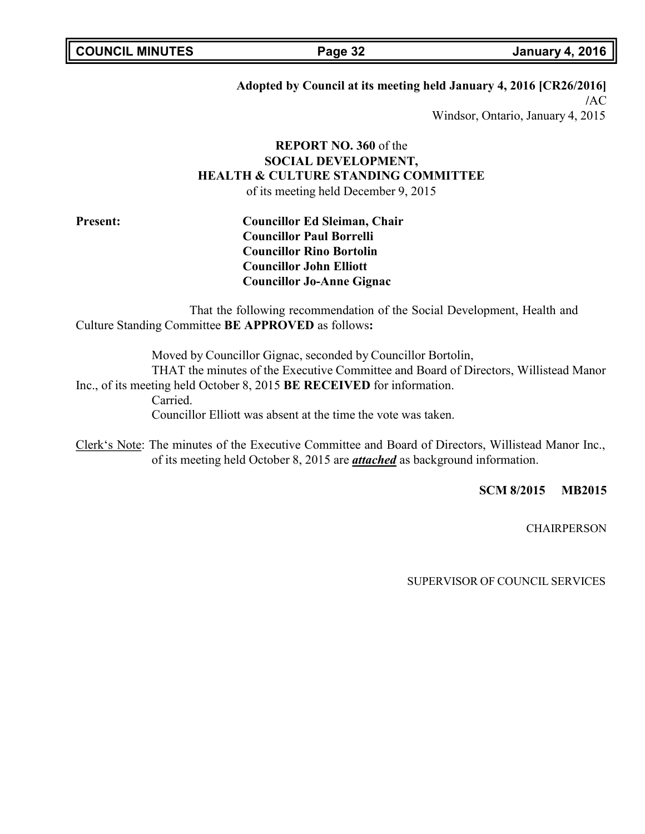### **Adopted by Council at its meeting held January 4, 2016 [CR26/2016]**

**/**AC Windsor, Ontario, January 4, 2015

# **REPORT NO. 360** of the **SOCIAL DEVELOPMENT, HEALTH & CULTURE STANDING COMMITTEE**

of its meeting held December 9, 2015

**Present: Councillor Ed Sleiman, Chair Councillor Paul Borrelli Councillor Rino Bortolin Councillor John Elliott Councillor Jo-Anne Gignac**

That the following recommendation of the Social Development, Health and Culture Standing Committee **BE APPROVED** as follows**:**

Moved by Councillor Gignac, seconded by Councillor Bortolin, THAT the minutes of the Executive Committee and Board of Directors, Willistead Manor Inc., of its meeting held October 8, 2015 **BE RECEIVED** for information. Carried. Councillor Elliott was absent at the time the vote was taken.

Clerk's Note: The minutes of the Executive Committee and Board of Directors, Willistead Manor Inc., of its meeting held October 8, 2015 are *attached* as background information.

**SCM 8/2015 MB2015**

**CHAIRPERSON**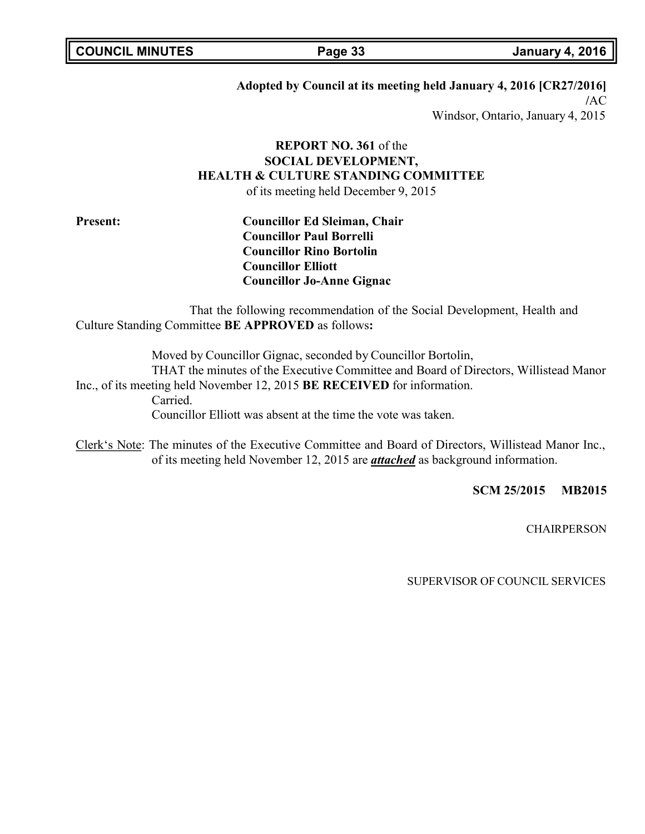### **Adopted by Council at its meeting held January 4, 2016 [CR27/2016]**

**/**AC Windsor, Ontario, January 4, 2015

# **REPORT NO. 361** of the **SOCIAL DEVELOPMENT, HEALTH & CULTURE STANDING COMMITTEE**

of its meeting held December 9, 2015

**Present: Councillor Ed Sleiman, Chair Councillor Paul Borrelli Councillor Rino Bortolin Councillor Elliott Councillor Jo-Anne Gignac**

That the following recommendation of the Social Development, Health and Culture Standing Committee **BE APPROVED** as follows**:**

Moved by Councillor Gignac, seconded by Councillor Bortolin, THAT the minutes of the Executive Committee and Board of Directors, Willistead Manor Inc., of its meeting held November 12, 2015 **BE RECEIVED** for information. Carried. Councillor Elliott was absent at the time the vote was taken.

Clerk's Note: The minutes of the Executive Committee and Board of Directors, Willistead Manor Inc., of its meeting held November 12, 2015 are *attached* as background information.

**SCM 25/2015 MB2015**

**CHAIRPERSON**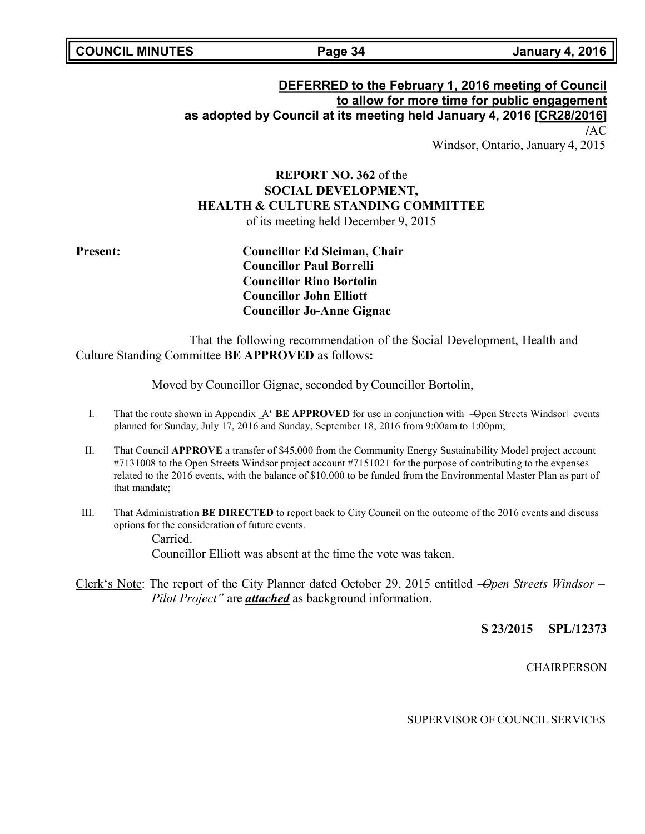## **DEFERRED to the February 1, 2016 meeting of Council to allow for more time for public engagement as adopted by Council at its meeting held January 4, 2016 [CR28/2016] /**AC Windsor, Ontario, January 4, 2015

# **REPORT NO. 362** of the **SOCIAL DEVELOPMENT, HEALTH & CULTURE STANDING COMMITTEE** of its meeting held December 9, 2015

**Present: Councillor Ed Sleiman, Chair Councillor Paul Borrelli Councillor Rino Bortolin Councillor John Elliott Councillor Jo-Anne Gignac**

That the following recommendation of the Social Development, Health and Culture Standing Committee **BE APPROVED** as follows**:**

Moved by Councillor Gignac, seconded by Councillor Bortolin,

- I. That the route shown in Appendix A' **BE APPROVED** for use in conjunction with —Open Streets Windsorl events planned for Sunday, July 17, 2016 and Sunday, September 18, 2016 from 9:00am to 1:00pm;
- II. That Council **APPROVE** a transfer of \$45,000 from the Community Energy Sustainability Model project account #7131008 to the Open Streets Windsor project account #7151021 for the purpose of contributing to the expenses related to the 2016 events, with the balance of \$10,000 to be funded from the Environmental Master Plan as part of that mandate;
- III. That Administration **BE DIRECTED** to report back to City Council on the outcome of the 2016 events and discuss options for the consideration of future events.

Carried. Councillor Elliott was absent at the time the vote was taken.

Clerk's Note: The report of the City Planner dated October 29, 2015 entitled ―*Open Streets Windsor – Pilot Project"* are *attached* as background information.

**S 23/2015 SPL/12373**

**CHAIRPERSON**